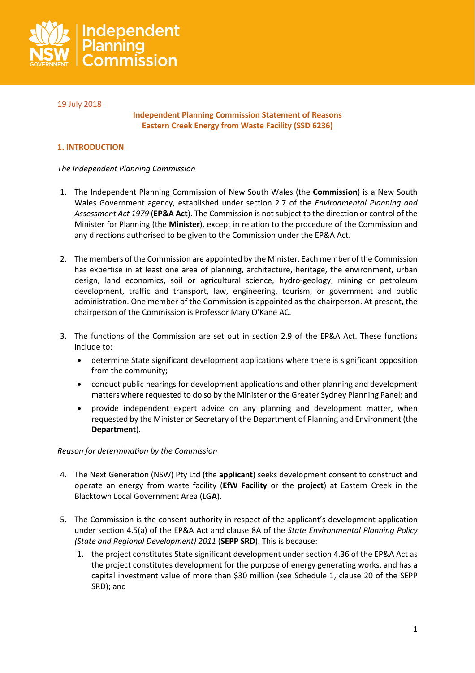

## 19 July 2018

### **Independent Planning Commission Statement of Reasons Eastern Creek Energy from Waste Facility (SSD 6236)**

## **1. INTRODUCTION**

#### *The Independent Planning Commission*

- 1. The Independent Planning Commission of New South Wales (the **Commission**) is a New South Wales Government agency, established under section 2.7 of the *Environmental Planning and Assessment Act 1979* (**EP&A Act**). The Commission is not subject to the direction or control of the Minister for Planning (the **Minister**), except in relation to the procedure of the Commission and any directions authorised to be given to the Commission under the EP&A Act.
- 2. The members of the Commission are appointed by the Minister. Each member of the Commission has expertise in at least one area of planning, architecture, heritage, the environment, urban design, land economics, soil or agricultural science, hydro-geology, mining or petroleum development, traffic and transport, law, engineering, tourism, or government and public administration. One member of the Commission is appointed as the chairperson. At present, the chairperson of the Commission is Professor Mary O'Kane AC.
- 3. The functions of the Commission are set out in section 2.9 of the EP&A Act. These functions include to:
	- determine State significant development applications where there is significant opposition from the community;
	- conduct public hearings for development applications and other planning and development matters where requested to do so by the Minister or the Greater Sydney Planning Panel; and
	- provide independent expert advice on any planning and development matter, when requested by the Minister or Secretary of the Department of Planning and Environment (the **Department**).

#### *Reason for determination by the Commission*

- 4. The Next Generation (NSW) Pty Ltd (the **applicant**) seeks development consent to construct and operate an energy from waste facility (**EfW Facility** or the **project**) at Eastern Creek in the Blacktown Local Government Area (**LGA**).
- 5. The Commission is the consent authority in respect of the applicant's development application under section 4.5(a) of the EP&A Act and clause 8A of the *State Environmental Planning Policy (State and Regional Development) 2011* (**SEPP SRD**). This is because:
	- 1. the project constitutes State significant development under section 4.36 of the EP&A Act as the project constitutes development for the purpose of energy generating works, and has a capital investment value of more than \$30 million (see Schedule 1, clause 20 of the SEPP SRD); and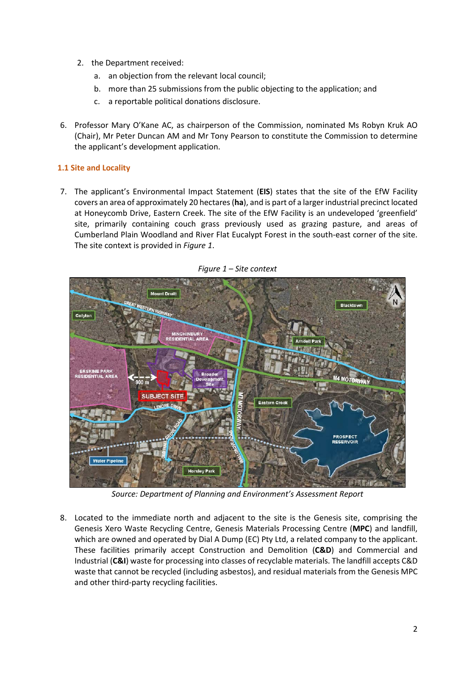- 2. the Department received:
	- a. an objection from the relevant local council;
	- b. more than 25 submissions from the public objecting to the application; and
	- c. a reportable political donations disclosure.
- 6. Professor Mary O'Kane AC, as chairperson of the Commission, nominated Ms Robyn Kruk AO (Chair), Mr Peter Duncan AM and Mr Tony Pearson to constitute the Commission to determine the applicant's development application.

# **1.1 Site and Locality**

7. The applicant's Environmental Impact Statement (**EIS**) states that the site of the EfW Facility covers an area of approximately 20 hectares (**ha**), and is part of a largerindustrial precinct located at Honeycomb Drive, Eastern Creek. The site of the EfW Facility is an undeveloped 'greenfield' site, primarily containing couch grass previously used as grazing pasture, and areas of Cumberland Plain Woodland and River Flat Eucalypt Forest in the south-east corner of the site. The site context is provided in *Figure 1*.



*Figure 1 – Site context*

*Source: Department of Planning and Environment's Assessment Report*

8. Located to the immediate north and adjacent to the site is the Genesis site, comprising the Genesis Xero Waste Recycling Centre, Genesis Materials Processing Centre (**MPC**) and landfill, which are owned and operated by Dial A Dump (EC) Pty Ltd, a related company to the applicant. These facilities primarily accept Construction and Demolition (**C&D**) and Commercial and Industrial (**C&I**) waste for processing into classes of recyclable materials. The landfill accepts C&D waste that cannot be recycled (including asbestos), and residual materials from the Genesis MPC and other third-party recycling facilities.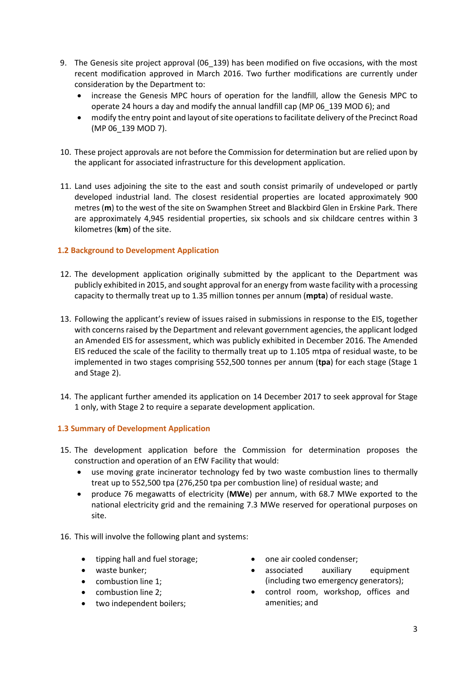- 9. The Genesis site project approval (06\_139) has been modified on five occasions, with the most recent modification approved in March 2016. Two further modifications are currently under consideration by the Department to:
	- increase the Genesis MPC hours of operation for the landfill, allow the Genesis MPC to operate 24 hours a day and modify the annual landfill cap (MP 06\_139 MOD 6); and
	- modify the entry point and layout of site operations to facilitate delivery of the Precinct Road (MP 06\_139 MOD 7).
- 10. These project approvals are not before the Commission for determination but are relied upon by the applicant for associated infrastructure for this development application.
- 11. Land uses adjoining the site to the east and south consist primarily of undeveloped or partly developed industrial land. The closest residential properties are located approximately 900 metres (**m**) to the west of the site on Swamphen Street and Blackbird Glen in Erskine Park. There are approximately 4,945 residential properties, six schools and six childcare centres within 3 kilometres (**km**) of the site.

# **1.2 Background to Development Application**

- 12. The development application originally submitted by the applicant to the Department was publicly exhibited in 2015, and sought approval for an energy from waste facility with a processing capacity to thermally treat up to 1.35 million tonnes per annum (**mpta**) of residual waste.
- 13. Following the applicant's review of issues raised in submissions in response to the EIS, together with concerns raised by the Department and relevant government agencies, the applicant lodged an Amended EIS for assessment, which was publicly exhibited in December 2016. The Amended EIS reduced the scale of the facility to thermally treat up to 1.105 mtpa of residual waste, to be implemented in two stages comprising 552,500 tonnes per annum (**tpa**) for each stage (Stage 1 and Stage 2).
- 14. The applicant further amended its application on 14 December 2017 to seek approval for Stage 1 only, with Stage 2 to require a separate development application.

# **1.3 Summary of Development Application**

- 15. The development application before the Commission for determination proposes the construction and operation of an EfW Facility that would:
	- use moving grate incinerator technology fed by two waste combustion lines to thermally treat up to 552,500 tpa (276,250 tpa per combustion line) of residual waste; and
	- produce 76 megawatts of electricity (**MWe**) per annum, with 68.7 MWe exported to the national electricity grid and the remaining 7.3 MWe reserved for operational purposes on site.
- 16. This will involve the following plant and systems:
	- tipping hall and fuel storage;
	- waste bunker;
	- combustion line 1;
	- combustion line 2;
	- two independent boilers;
- one air cooled condenser;
- associated auxiliary equipment (including two emergency generators);
- control room, workshop, offices and amenities; and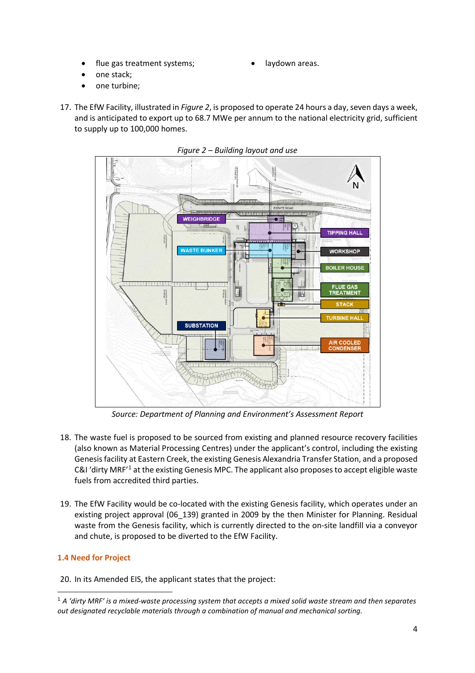- flue gas treatment systems;
- laydown areas.
- one stack;
- one turbine;
- 17. The EfW Facility, illustrated in *Figure 2*, is proposed to operate 24 hours a day, seven days a week, and is anticipated to export up to 68.7 MWe per annum to the national electricity grid, sufficient to supply up to 100,000 homes.



*Figure 2 – Building layout and use*

*Source: Department of Planning and Environment's Assessment Report*

- 18. The waste fuel is proposed to be sourced from existing and planned resource recovery facilities (also known as Material Processing Centres) under the applicant's control, including the existing Genesis facility at Eastern Creek, the existing Genesis Alexandria Transfer Station, and a proposed C&I 'dirty MRF'[1](#page-3-0) at the existing Genesis MPC. The applicant also proposes to accept eligible waste fuels from accredited third parties.
- 19. The EfW Facility would be co-located with the existing Genesis facility, which operates under an existing project approval (06\_139) granted in 2009 by the then Minister for Planning. Residual waste from the Genesis facility, which is currently directed to the on-site landfill via a conveyor and chute, is proposed to be diverted to the EfW Facility.

# **1.4 Need for Project**

20. In its Amended EIS, the applicant states that the project:

<span id="page-3-0"></span> <sup>1</sup> *A 'dirty MRF' is a mixed-waste processing system that accepts a mixed solid waste stream and then separates out designated recyclable materials through a combination of manual and mechanical sorting.*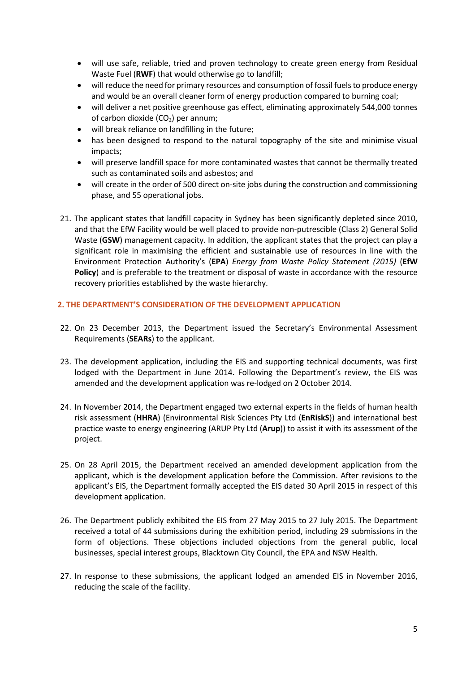- will use safe, reliable, tried and proven technology to create green energy from Residual Waste Fuel (**RWF**) that would otherwise go to landfill;
- will reduce the need for primary resources and consumption of fossil fuels to produce energy and would be an overall cleaner form of energy production compared to burning coal;
- will deliver a net positive greenhouse gas effect, eliminating approximately 544,000 tonnes of carbon dioxide  $(CO<sub>2</sub>)$  per annum;
- will break reliance on landfilling in the future;
- has been designed to respond to the natural topography of the site and minimise visual impacts;
- will preserve landfill space for more contaminated wastes that cannot be thermally treated such as contaminated soils and asbestos; and
- will create in the order of 500 direct on-site jobs during the construction and commissioning phase, and 55 operational jobs.
- 21. The applicant states that landfill capacity in Sydney has been significantly depleted since 2010, and that the EfW Facility would be well placed to provide non-putrescible (Class 2) General Solid Waste (**GSW**) management capacity. In addition, the applicant states that the project can play a significant role in maximising the efficient and sustainable use of resources in line with the Environment Protection Authority's (**EPA**) *Energy from Waste Policy Statement (2015)* (**EfW**  Policy) and is preferable to the treatment or disposal of waste in accordance with the resource recovery priorities established by the waste hierarchy.

#### **2. THE DEPARTMENT'S CONSIDERATION OF THE DEVELOPMENT APPLICATION**

- 22. On 23 December 2013, the Department issued the Secretary's Environmental Assessment Requirements (**SEARs**) to the applicant.
- 23. The development application, including the EIS and supporting technical documents, was first lodged with the Department in June 2014. Following the Department's review, the EIS was amended and the development application was re-lodged on 2 October 2014.
- 24. In November 2014, the Department engaged two external experts in the fields of human health risk assessment (**HHRA**) (Environmental Risk Sciences Pty Ltd (**EnRiskS**)) and international best practice waste to energy engineering (ARUP Pty Ltd (**Arup**)) to assist it with its assessment of the project.
- 25. On 28 April 2015, the Department received an amended development application from the applicant, which is the development application before the Commission. After revisions to the applicant's EIS, the Department formally accepted the EIS dated 30 April 2015 in respect of this development application.
- 26. The Department publicly exhibited the EIS from 27 May 2015 to 27 July 2015. The Department received a total of 44 submissions during the exhibition period, including 29 submissions in the form of objections. These objections included objections from the general public, local businesses, special interest groups, Blacktown City Council, the EPA and NSW Health.
- 27. In response to these submissions, the applicant lodged an amended EIS in November 2016, reducing the scale of the facility.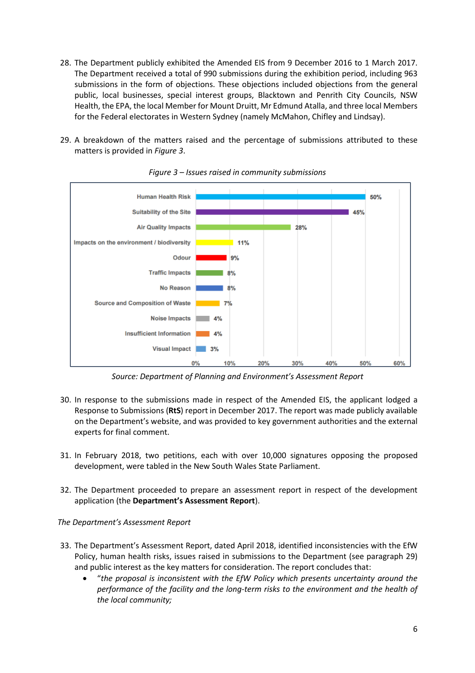- 28. The Department publicly exhibited the Amended EIS from 9 December 2016 to 1 March 2017. The Department received a total of 990 submissions during the exhibition period, including 963 submissions in the form of objections. These objections included objections from the general public, local businesses, special interest groups, Blacktown and Penrith City Councils, NSW Health, the EPA, the local Member for Mount Druitt, Mr Edmund Atalla, and three local Members for the Federal electorates in Western Sydney (namely McMahon, Chifley and Lindsay).
- 29. A breakdown of the matters raised and the percentage of submissions attributed to these matters is provided in *Figure 3*.



*Figure 3 – Issues raised in community submissions*

*Source: Department of Planning and Environment's Assessment Report*

- 30. In response to the submissions made in respect of the Amended EIS, the applicant lodged a Response to Submissions (**RtS**) report in December 2017. The report was made publicly available on the Department's website, and was provided to key government authorities and the external experts for final comment.
- 31. In February 2018, two petitions, each with over 10,000 signatures opposing the proposed development, were tabled in the New South Wales State Parliament.
- 32. The Department proceeded to prepare an assessment report in respect of the development application (the **Department's Assessment Report**).

*The Department's Assessment Report*

- 33. The Department's Assessment Report, dated April 2018, identified inconsistencies with the EfW Policy, human health risks, issues raised in submissions to the Department (see paragraph 29) and public interest as the key matters for consideration. The report concludes that:
	- "*the proposal is inconsistent with the EfW Policy which presents uncertainty around the performance of the facility and the long-term risks to the environment and the health of the local community;*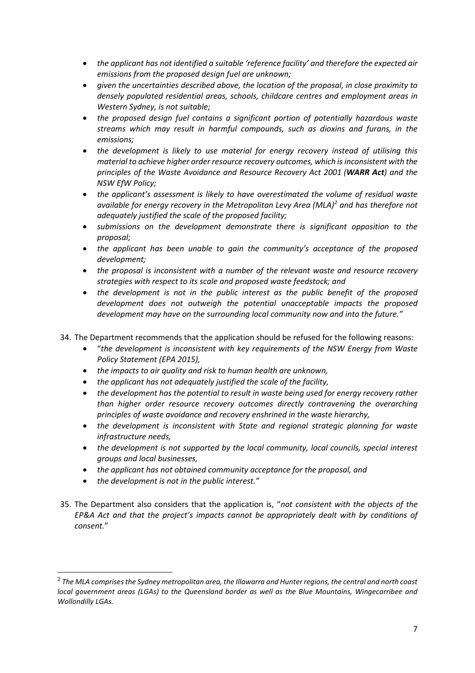- *the applicant has not identified a suitable 'reference facility' and therefore the expected air emissions from the proposed design fuel are unknown;*
- *given the uncertainties described above, the location of the proposal, in close proximity to densely populated residential areas, schools, childcare centres and employment areas in Western Sydney, is not suitable;*
- *the proposed design fuel contains a significant portion of potentially hazardous waste streams which may result in harmful compounds, such as dioxins and furans, in the emissions;*
- *the development is likely to use material for energy recovery instead of utilising this material to achieve higher order resource recovery outcomes, which is inconsistent with the principles of the Waste Avoidance and Resource Recovery Act 2001 (WARR Act) and the NSW EfW Policy;*
- *the applicant's assessment is likely to have overestimated the volume of residual waste available for energy recovery in the Metropolitan Levy Area (MLA) [2](#page-6-0) and has therefore not adequately justified the scale of the proposed facility;*
- *submissions on the development demonstrate there is significant opposition to the proposal;*
- *the applicant has been unable to gain the community's acceptance of the proposed development;*
- *the proposal is inconsistent with a number of the relevant waste and resource recovery strategies with respect to its scale and proposed waste feedstock; and*
- *the development is not in the public interest as the public benefit of the proposed development does not outweigh the potential unacceptable impacts the proposed development may have on the surrounding local community now and into the future."*
- 34. The Department recommends that the application should be refused for the following reasons:
	- "*the development is inconsistent with key requirements of the NSW Energy from Waste Policy Statement (EPA 2015),*
	- *the impacts to air quality and risk to human health are unknown,*
	- *the applicant has not adequately justified the scale of the facility,*
	- *the development has the potential to result in waste being used for energy recovery rather than higher order resource recovery outcomes directly contravening the overarching principles of waste avoidance and recovery enshrined in the waste hierarchy,*
	- *the development is inconsistent with State and regional strategic planning for waste infrastructure needs,*
	- *the development is not supported by the local community, local councils, special interest groups and local businesses,*
	- *the applicant has not obtained community acceptance for the proposal, and*
	- *the development is not in the public interest."*
- 35. The Department also considers that the application is, "*not consistent with the objects of the EP&A Act and that the project's impacts cannot be appropriately dealt with by conditions of consent.*"

<span id="page-6-0"></span> <sup>2</sup> *The MLA comprises the Sydney metropolitan area, the Illawarra and Hunter regions, the central and north coast local government areas (LGAs) to the Queensland border as well as the Blue Mountains, Wingecarribee and Wollondilly LGAs.*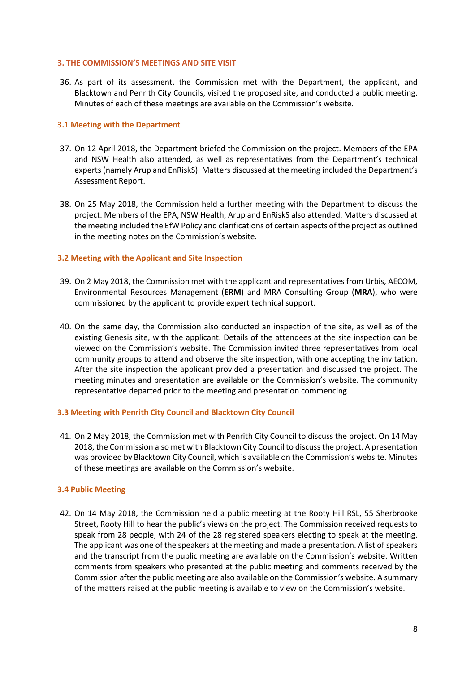#### **3. THE COMMISSION'S MEETINGS AND SITE VISIT**

36. As part of its assessment, the Commission met with the Department, the applicant, and Blacktown and Penrith City Councils, visited the proposed site, and conducted a public meeting. Minutes of each of these meetings are available on the Commission's website.

### **3.1 Meeting with the Department**

- 37. On 12 April 2018, the Department briefed the Commission on the project. Members of the EPA and NSW Health also attended, as well as representatives from the Department's technical experts (namely Arup and EnRiskS). Matters discussed at the meeting included the Department's Assessment Report.
- 38. On 25 May 2018, the Commission held a further meeting with the Department to discuss the project. Members of the EPA, NSW Health, Arup and EnRiskS also attended. Matters discussed at the meeting included the EfW Policy and clarifications of certain aspects of the project as outlined in the meeting notes on the Commission's website.

## **3.2 Meeting with the Applicant and Site Inspection**

- 39. On 2 May 2018, the Commission met with the applicant and representatives from Urbis, AECOM, Environmental Resources Management (**ERM**) and MRA Consulting Group (**MRA**), who were commissioned by the applicant to provide expert technical support.
- 40. On the same day, the Commission also conducted an inspection of the site, as well as of the existing Genesis site, with the applicant. Details of the attendees at the site inspection can be viewed on the Commission's website. The Commission invited three representatives from local community groups to attend and observe the site inspection, with one accepting the invitation. After the site inspection the applicant provided a presentation and discussed the project. The meeting minutes and presentation are available on the Commission's website. The community representative departed prior to the meeting and presentation commencing.

#### **3.3 Meeting with Penrith City Council and Blacktown City Council**

41. On 2 May 2018, the Commission met with Penrith City Council to discuss the project. On 14 May 2018, the Commission also met with Blacktown City Council to discuss the project. A presentation was provided by Blacktown City Council, which is available on the Commission's website. Minutes of these meetings are available on the Commission's website.

#### **3.4 Public Meeting**

42. On 14 May 2018, the Commission held a public meeting at the Rooty Hill RSL, 55 Sherbrooke Street, Rooty Hill to hear the public's views on the project. The Commission received requests to speak from 28 people, with 24 of the 28 registered speakers electing to speak at the meeting. The applicant was one of the speakers at the meeting and made a presentation. A list of speakers and the transcript from the public meeting are available on the Commission's website. Written comments from speakers who presented at the public meeting and comments received by the Commission after the public meeting are also available on the Commission's website. A summary of the matters raised at the public meeting is available to view on the Commission's website.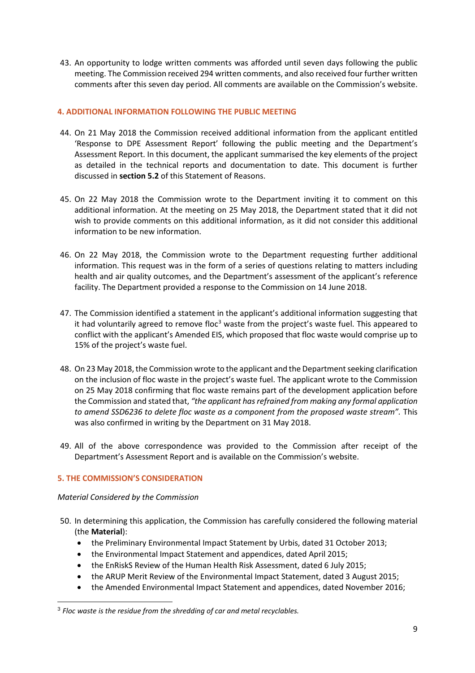43. An opportunity to lodge written comments was afforded until seven days following the public meeting. The Commission received 294 written comments, and also received four further written comments after this seven day period. All comments are available on the Commission's website.

## **4. ADDITIONAL INFORMATION FOLLOWING THE PUBLIC MEETING**

- 44. On 21 May 2018 the Commission received additional information from the applicant entitled 'Response to DPE Assessment Report' following the public meeting and the Department's Assessment Report. In this document, the applicant summarised the key elements of the project as detailed in the technical reports and documentation to date. This document is further discussed in **section 5.2** of this Statement of Reasons.
- 45. On 22 May 2018 the Commission wrote to the Department inviting it to comment on this additional information. At the meeting on 25 May 2018, the Department stated that it did not wish to provide comments on this additional information, as it did not consider this additional information to be new information.
- 46. On 22 May 2018, the Commission wrote to the Department requesting further additional information. This request was in the form of a series of questions relating to matters including health and air quality outcomes, and the Department's assessment of the applicant's reference facility. The Department provided a response to the Commission on 14 June 2018.
- 47. The Commission identified a statement in the applicant's additional information suggesting that it had voluntarily agreed to remove floc<sup>[3](#page-8-0)</sup> waste from the project's waste fuel. This appeared to conflict with the applicant's Amended EIS, which proposed that floc waste would comprise up to 15% of the project's waste fuel.
- 48. On 23 May 2018, the Commission wrote to the applicant and the Department seeking clarification on the inclusion of floc waste in the project's waste fuel. The applicant wrote to the Commission on 25 May 2018 confirming that floc waste remains part of the development application before the Commission and stated that, *"the applicant has refrained from making any formal application to amend SSD6236 to delete floc waste as a component from the proposed waste stream".* This was also confirmed in writing by the Department on 31 May 2018.
- 49. All of the above correspondence was provided to the Commission after receipt of the Department's Assessment Report and is available on the Commission's website.

#### **5. THE COMMISSION'S CONSIDERATION**

#### *Material Considered by the Commission*

- 50. In determining this application, the Commission has carefully considered the following material (the **Material**):
	- the Preliminary Environmental Impact Statement by Urbis, dated 31 October 2013;
	- the Environmental Impact Statement and appendices, dated April 2015;
	- the EnRiskS Review of the Human Health Risk Assessment, dated 6 July 2015;
	- the ARUP Merit Review of the Environmental Impact Statement, dated 3 August 2015;
	- the Amended Environmental Impact Statement and appendices, dated November 2016;

<span id="page-8-0"></span> <sup>3</sup> *Floc waste is the residue from the shredding of car and metal recyclables.*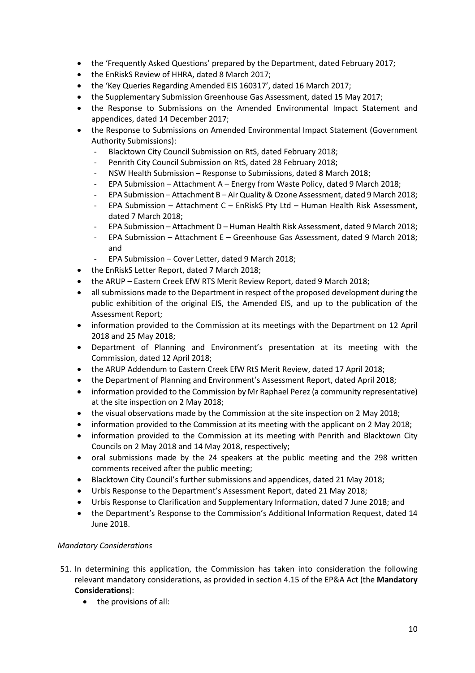- the 'Frequently Asked Questions' prepared by the Department, dated February 2017;
- the EnRiskS Review of HHRA, dated 8 March 2017;
- the 'Key Queries Regarding Amended EIS 160317', dated 16 March 2017;
- the Supplementary Submission Greenhouse Gas Assessment, dated 15 May 2017;
- the Response to Submissions on the Amended Environmental Impact Statement and appendices, dated 14 December 2017;
- the Response to Submissions on Amended Environmental Impact Statement (Government Authority Submissions):
	- Blacktown City Council Submission on RtS, dated February 2018;
	- Penrith City Council Submission on RtS, dated 28 February 2018;
	- NSW Health Submission Response to Submissions, dated 8 March 2018;
	- EPA Submission Attachment A Energy from Waste Policy, dated 9 March 2018;
	- EPA Submission Attachment B Air Quality & Ozone Assessment, dated 9 March 2018;
	- EPA Submission Attachment C EnRiskS Pty Ltd Human Health Risk Assessment, dated 7 March 2018;
	- EPA Submission Attachment D Human Health Risk Assessment, dated 9 March 2018;
	- EPA Submission Attachment E Greenhouse Gas Assessment, dated 9 March 2018; and
	- EPA Submission Cover Letter, dated 9 March 2018;
- the EnRiskS Letter Report, dated 7 March 2018;
- the ARUP Eastern Creek EfW RTS Merit Review Report, dated 9 March 2018;
- all submissions made to the Department in respect of the proposed development during the public exhibition of the original EIS, the Amended EIS, and up to the publication of the Assessment Report;
- information provided to the Commission at its meetings with the Department on 12 April 2018 and 25 May 2018;
- Department of Planning and Environment's presentation at its meeting with the Commission, dated 12 April 2018;
- the ARUP Addendum to Eastern Creek EfW RtS Merit Review, dated 17 April 2018;
- the Department of Planning and Environment's Assessment Report, dated April 2018;
- information provided to the Commission by Mr Raphael Perez (a community representative) at the site inspection on 2 May 2018;
- the visual observations made by the Commission at the site inspection on 2 May 2018;
- information provided to the Commission at its meeting with the applicant on 2 May 2018;
- information provided to the Commission at its meeting with Penrith and Blacktown City Councils on 2 May 2018 and 14 May 2018, respectively;
- oral submissions made by the 24 speakers at the public meeting and the 298 written comments received after the public meeting;
- Blacktown City Council's further submissions and appendices, dated 21 May 2018;
- Urbis Response to the Department's Assessment Report, dated 21 May 2018;
- Urbis Response to Clarification and Supplementary Information, dated 7 June 2018; and
- the Department's Response to the Commission's Additional Information Request, dated 14 June 2018.

# *Mandatory Considerations*

- 51. In determining this application, the Commission has taken into consideration the following relevant mandatory considerations, as provided in section 4.15 of the EP&A Act (the **Mandatory Considerations**):
	- the provisions of all: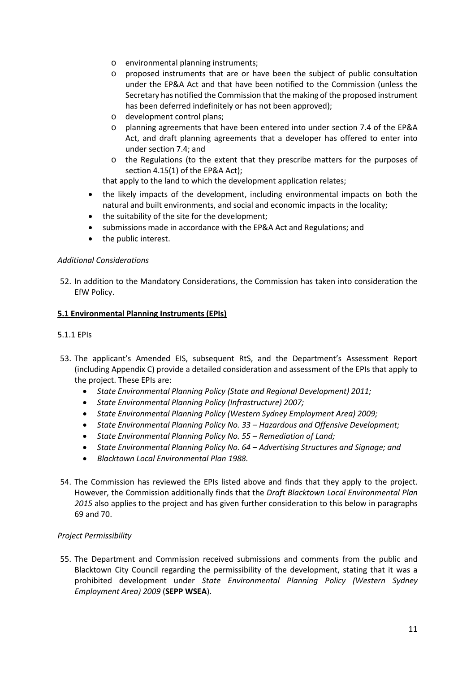- o environmental planning instruments;
- o proposed instruments that are or have been the subject of public consultation under the EP&A Act and that have been notified to the Commission (unless the Secretary has notified the Commission that the making of the proposed instrument has been deferred indefinitely or has not been approved);
- o development control plans;
- o planning agreements that have been entered into under section 7.4 of the EP&A Act, and draft planning agreements that a developer has offered to enter into under section 7.4; and
- o the Regulations (to the extent that they prescribe matters for the purposes of section 4.15(1) of the EP&A Act);

that apply to the land to which the development application relates;

- the likely impacts of the development, including environmental impacts on both the natural and built environments, and social and economic impacts in the locality;
- the suitability of the site for the development;
- submissions made in accordance with the EP&A Act and Regulations; and
- the public interest.

#### *Additional Considerations*

52. In addition to the Mandatory Considerations, the Commission has taken into consideration the EfW Policy.

## **5.1 Environmental Planning Instruments (EPIs)**

#### 5.1.1 EPIs

- 53. The applicant's Amended EIS, subsequent RtS, and the Department's Assessment Report (including Appendix C) provide a detailed consideration and assessment of the EPIs that apply to the project. These EPIs are:
	- *State Environmental Planning Policy (State and Regional Development) 2011;*
	- *State Environmental Planning Policy (Infrastructure) 2007;*
	- *State Environmental Planning Policy (Western Sydney Employment Area) 2009;*
	- *State Environmental Planning Policy No. 33 – Hazardous and Offensive Development;*
	- *State Environmental Planning Policy No. 55 – Remediation of Land;*
	- *State Environmental Planning Policy No. 64 – Advertising Structures and Signage; and*
	- *Blacktown Local Environmental Plan 1988.*
- 54. The Commission has reviewed the EPIs listed above and finds that they apply to the project. However, the Commission additionally finds that the *Draft Blacktown Local Environmental Plan 2015* also applies to the project and has given further consideration to this below in paragraphs 69 and 70.

#### *Project Permissibility*

55. The Department and Commission received submissions and comments from the public and Blacktown City Council regarding the permissibility of the development, stating that it was a prohibited development under *State Environmental Planning Policy (Western Sydney Employment Area) 2009* (**SEPP WSEA**).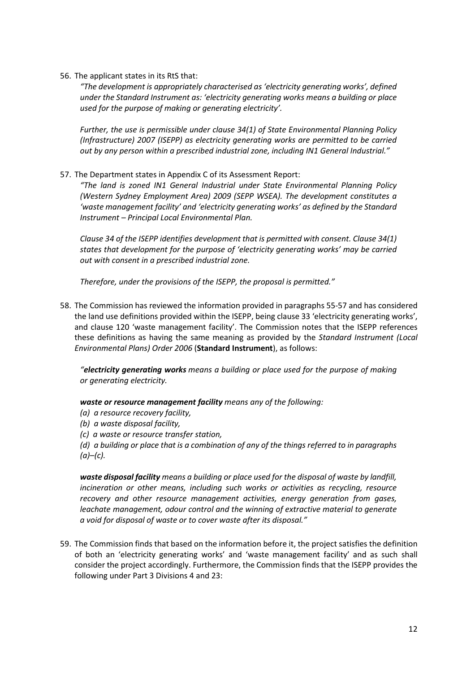56. The applicant states in its RtS that:

*"The development is appropriately characterised as 'electricity generating works', defined under the Standard Instrument as: 'electricity generating works means a building or place used for the purpose of making or generating electricity'.*

*Further, the use is permissible under clause 34(1) of State Environmental Planning Policy (Infrastructure) 2007 (ISEPP) as electricity generating works are permitted to be carried out by any person within a prescribed industrial zone, including IN1 General Industrial."*

57. The Department states in Appendix C of its Assessment Report:

*"The land is zoned IN1 General Industrial under State Environmental Planning Policy (Western Sydney Employment Area) 2009 (SEPP WSEA). The development constitutes a 'waste management facility' and 'electricity generating works' as defined by the Standard Instrument – Principal Local Environmental Plan.*

*Clause 34 of the ISEPP identifies development that is permitted with consent. Clause 34(1) states that development for the purpose of 'electricity generating works' may be carried out with consent in a prescribed industrial zone.*

*Therefore, under the provisions of the ISEPP, the proposal is permitted."*

58. The Commission has reviewed the information provided in paragraphs 55-57 and has considered the land use definitions provided within the ISEPP, being clause 33 'electricity generating works', and clause 120 'waste management facility'. The Commission notes that the ISEPP references these definitions as having the same meaning as provided by the *Standard Instrument (Local Environmental Plans) Order 2006* (**Standard Instrument**), as follows:

*"electricity generating works means a building or place used for the purpose of making or generating electricity.*

*waste or resource management facility means any of the following:*

- *(a) a resource recovery facility,*
- *(b) a waste disposal facility,*
- *(c) a waste or resource transfer station,*
- *(d) a building or place that is a combination of any of the things referred to in paragraphs (a)–(c).*

*waste disposal facility means a building or place used for the disposal of waste by landfill, incineration or other means, including such works or activities as recycling, resource recovery and other resource management activities, energy generation from gases, leachate management, odour control and the winning of extractive material to generate a void for disposal of waste or to cover waste after its disposal."*

59. The Commission finds that based on the information before it, the project satisfies the definition of both an 'electricity generating works' and 'waste management facility' and as such shall consider the project accordingly. Furthermore, the Commission finds that the ISEPP provides the following under Part 3 Divisions 4 and 23: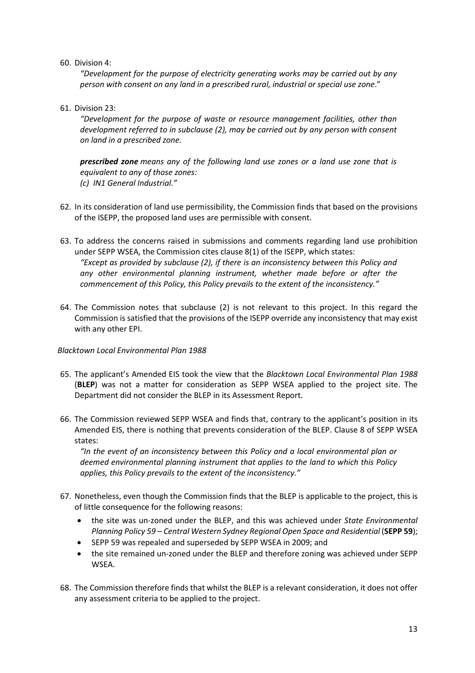#### 60. Division 4:

*"Development for the purpose of electricity generating works may be carried out by any person with consent on any land in a prescribed rural, industrial or special use zone*."

## 61. Division 23:

*"Development for the purpose of waste or resource management facilities, other than development referred to in subclause (2), may be carried out by any person with consent on land in a prescribed zone.*

*prescribed zone means any of the following land use zones or a land use zone that is equivalent to any of those zones: (c) IN1 General Industrial."*

- 62. In its consideration of land use permissibility, the Commission finds that based on the provisions of the ISEPP, the proposed land uses are permissible with consent.
- 63. To address the concerns raised in submissions and comments regarding land use prohibition under SEPP WSEA, the Commission cites clause 8(1) of the ISEPP, which states: *"Except as provided by subclause (2), if there is an inconsistency between this Policy and any other environmental planning instrument, whether made before or after the commencement of this Policy, this Policy prevails to the extent of the inconsistency."*
- 64. The Commission notes that subclause (2) is not relevant to this project. In this regard the Commission is satisfied that the provisions of the ISEPP override any inconsistency that may exist with any other EPI.

#### *Blacktown Local Environmental Plan 1988*

- 65. The applicant's Amended EIS took the view that the *Blacktown Local Environmental Plan 1988*  (**BLEP**) was not a matter for consideration as SEPP WSEA applied to the project site. The Department did not consider the BLEP in its Assessment Report.
- 66. The Commission reviewed SEPP WSEA and finds that, contrary to the applicant's position in its Amended EIS, there is nothing that prevents consideration of the BLEP. Clause 8 of SEPP WSEA states:

*"In the event of an inconsistency between this Policy and a local environmental plan or deemed environmental planning instrument that applies to the land to which this Policy applies, this Policy prevails to the extent of the inconsistency."*

- 67. Nonetheless, even though the Commission finds that the BLEP is applicable to the project, this is of little consequence for the following reasons:
	- the site was un-zoned under the BLEP, and this was achieved under *State Environmental Planning Policy 59 – Central Western Sydney Regional Open Space and Residential (SEPP 59);*
	- SEPP 59 was repealed and superseded by SEPP WSEA in 2009; and
	- the site remained un-zoned under the BLEP and therefore zoning was achieved under SEPP WSEA.
- 68. The Commission therefore finds that whilst the BLEP is a relevant consideration, it does not offer any assessment criteria to be applied to the project.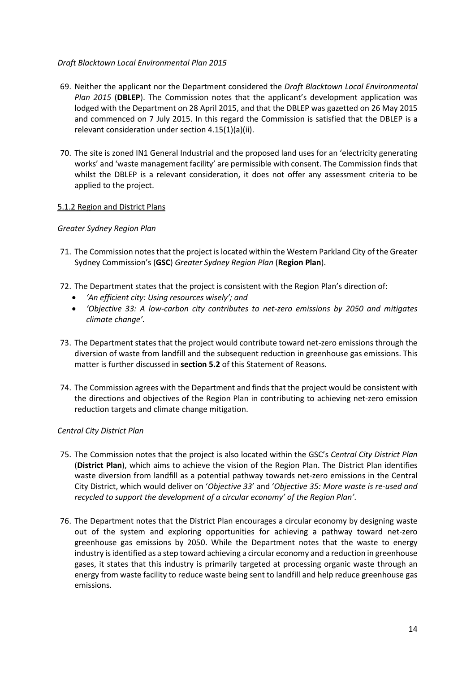## *Draft Blacktown Local Environmental Plan 2015*

- 69. Neither the applicant nor the Department considered the *Draft Blacktown Local Environmental Plan 2015* (**DBLEP**). The Commission notes that the applicant's development application was lodged with the Department on 28 April 2015, and that the DBLEP was gazetted on 26 May 2015 and commenced on 7 July 2015. In this regard the Commission is satisfied that the DBLEP is a relevant consideration under section 4.15(1)(a)(ii).
- 70. The site is zoned IN1 General Industrial and the proposed land uses for an 'electricity generating works' and 'waste management facility' are permissible with consent. The Commission finds that whilst the DBLEP is a relevant consideration, it does not offer any assessment criteria to be applied to the project.

## 5.1.2 Region and District Plans

## *Greater Sydney Region Plan*

- 71. The Commission notes that the project is located within the Western Parkland City of the Greater Sydney Commission's (**GSC**) *Greater Sydney Region Plan* (**Region Plan**).
- 72. The Department states that the project is consistent with the Region Plan's direction of:
	- *'An efficient city: Using resources wisely'; and*
	- *'Objective 33: A low-carbon city contributes to net-zero emissions by 2050 and mitigates climate change'.*
- 73. The Department states that the project would contribute toward net-zero emissions through the diversion of waste from landfill and the subsequent reduction in greenhouse gas emissions. This matter is further discussed in **section 5.2** of this Statement of Reasons.
- 74. The Commission agrees with the Department and finds that the project would be consistent with the directions and objectives of the Region Plan in contributing to achieving net-zero emission reduction targets and climate change mitigation.

#### *Central City District Plan*

- 75. The Commission notes that the project is also located within the GSC's *Central City District Plan* (**District Plan**), which aims to achieve the vision of the Region Plan. The District Plan identifies waste diversion from landfill as a potential pathway towards net-zero emissions in the Central City District, which would deliver on '*Objective 33*' and '*Objective 35: More waste is re-used and recycled to support the development of a circular economy' of the Region Plan'*.
- 76. The Department notes that the District Plan encourages a circular economy by designing waste out of the system and exploring opportunities for achieving a pathway toward net-zero greenhouse gas emissions by 2050. While the Department notes that the waste to energy industry is identified as a step toward achieving a circular economy and a reduction in greenhouse gases, it states that this industry is primarily targeted at processing organic waste through an energy from waste facility to reduce waste being sent to landfill and help reduce greenhouse gas emissions.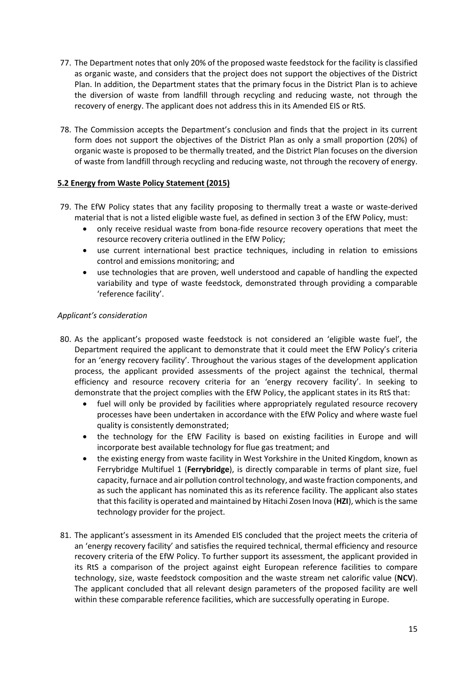- 77. The Department notes that only 20% of the proposed waste feedstock for the facility is classified as organic waste, and considers that the project does not support the objectives of the District Plan. In addition, the Department states that the primary focus in the District Plan is to achieve the diversion of waste from landfill through recycling and reducing waste, not through the recovery of energy. The applicant does not address this in its Amended EIS or RtS.
- 78. The Commission accepts the Department's conclusion and finds that the project in its current form does not support the objectives of the District Plan as only a small proportion (20%) of organic waste is proposed to be thermally treated, and the District Plan focuses on the diversion of waste from landfill through recycling and reducing waste, not through the recovery of energy.

# **5.2 Energy from Waste Policy Statement (2015)**

- 79. The EfW Policy states that any facility proposing to thermally treat a waste or waste-derived material that is not a listed eligible waste fuel, as defined in section 3 of the EfW Policy, must:
	- only receive residual waste from bona-fide resource recovery operations that meet the resource recovery criteria outlined in the EfW Policy;
	- use current international best practice techniques, including in relation to emissions control and emissions monitoring; and
	- use technologies that are proven, well understood and capable of handling the expected variability and type of waste feedstock, demonstrated through providing a comparable 'reference facility'.

## *Applicant's consideration*

- 80. As the applicant's proposed waste feedstock is not considered an 'eligible waste fuel', the Department required the applicant to demonstrate that it could meet the EfW Policy's criteria for an 'energy recovery facility'. Throughout the various stages of the development application process, the applicant provided assessments of the project against the technical, thermal efficiency and resource recovery criteria for an 'energy recovery facility'. In seeking to demonstrate that the project complies with the EfW Policy, the applicant states in its RtS that:
	- fuel will only be provided by facilities where appropriately regulated resource recovery processes have been undertaken in accordance with the EfW Policy and where waste fuel quality is consistently demonstrated;
	- the technology for the EfW Facility is based on existing facilities in Europe and will incorporate best available technology for flue gas treatment; and
	- the existing energy from waste facility in West Yorkshire in the United Kingdom, known as Ferrybridge Multifuel 1 (**Ferrybridge**), is directly comparable in terms of plant size, fuel capacity, furnace and air pollution control technology, and waste fraction components, and as such the applicant has nominated this as its reference facility. The applicant also states that this facility is operated and maintained by Hitachi Zosen Inova (**HZI**), which is the same technology provider for the project.
- 81. The applicant's assessment in its Amended EIS concluded that the project meets the criteria of an 'energy recovery facility' and satisfies the required technical, thermal efficiency and resource recovery criteria of the EfW Policy. To further support its assessment, the applicant provided in its RtS a comparison of the project against eight European reference facilities to compare technology, size, waste feedstock composition and the waste stream net calorific value (**NCV**). The applicant concluded that all relevant design parameters of the proposed facility are well within these comparable reference facilities, which are successfully operating in Europe.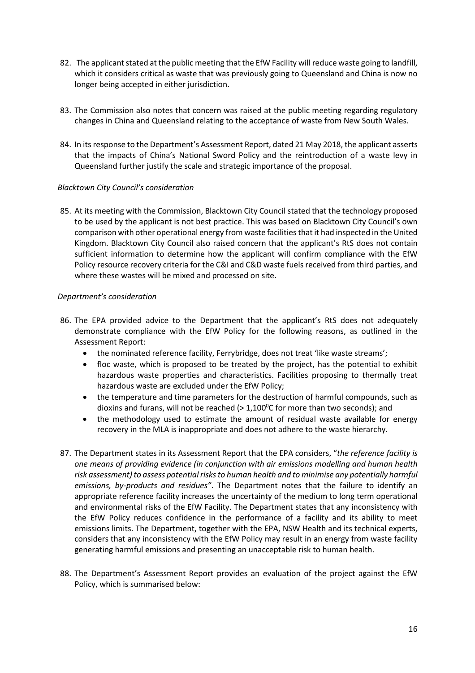- 82. The applicant stated at the public meeting that the EfW Facility will reduce waste going to landfill, which it considers critical as waste that was previously going to Queensland and China is now no longer being accepted in either jurisdiction.
- 83. The Commission also notes that concern was raised at the public meeting regarding regulatory changes in China and Queensland relating to the acceptance of waste from New South Wales.
- 84. In itsresponse to the Department's Assessment Report, dated 21 May 2018, the applicant asserts that the impacts of China's National Sword Policy and the reintroduction of a waste levy in Queensland further justify the scale and strategic importance of the proposal.

## *Blacktown City Council's consideration*

85. At its meeting with the Commission, Blacktown City Council stated that the technology proposed to be used by the applicant is not best practice. This was based on Blacktown City Council's own comparison with other operational energy from waste facilities that it had inspected in the United Kingdom. Blacktown City Council also raised concern that the applicant's RtS does not contain sufficient information to determine how the applicant will confirm compliance with the EfW Policy resource recovery criteria for the C&I and C&D waste fuels received from third parties, and where these wastes will be mixed and processed on site.

#### *Department's consideration*

- 86. The EPA provided advice to the Department that the applicant's RtS does not adequately demonstrate compliance with the EfW Policy for the following reasons, as outlined in the Assessment Report:
	- the nominated reference facility, Ferrybridge, does not treat 'like waste streams';
	- floc waste, which is proposed to be treated by the project, has the potential to exhibit hazardous waste properties and characteristics. Facilities proposing to thermally treat hazardous waste are excluded under the EfW Policy;
	- the temperature and time parameters for the destruction of harmful compounds, such as dioxins and furans, will not be reached (>  $1,100^{\circ}$ C for more than two seconds); and
	- the methodology used to estimate the amount of residual waste available for energy recovery in the MLA is inappropriate and does not adhere to the waste hierarchy.
- 87. The Department states in its Assessment Report that the EPA considers, "*the reference facility is one means of providing evidence (in conjunction with air emissions modelling and human health risk assessment) to assess potential risks to human health and to minimise any potentially harmful emissions, by-products and residues"*. The Department notes that the failure to identify an appropriate reference facility increases the uncertainty of the medium to long term operational and environmental risks of the EfW Facility. The Department states that any inconsistency with the EfW Policy reduces confidence in the performance of a facility and its ability to meet emissions limits. The Department, together with the EPA, NSW Health and its technical experts, considers that any inconsistency with the EfW Policy may result in an energy from waste facility generating harmful emissions and presenting an unacceptable risk to human health.
- 88. The Department's Assessment Report provides an evaluation of the project against the EfW Policy, which is summarised below: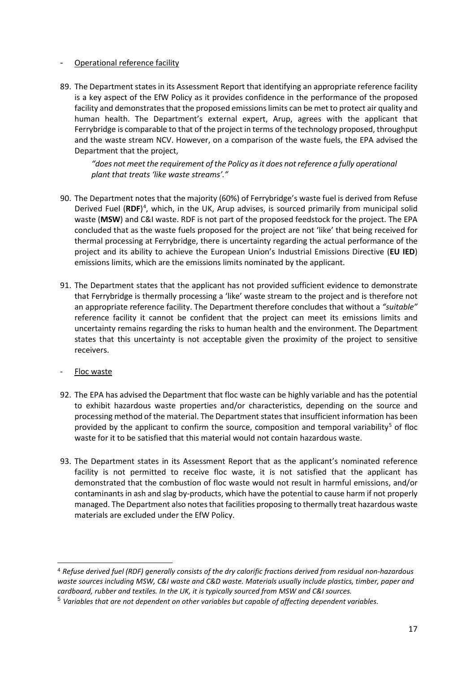## Operational reference facility

89. The Department states in its Assessment Report that identifying an appropriate reference facility is a key aspect of the EfW Policy as it provides confidence in the performance of the proposed facility and demonstrates that the proposed emissions limits can be met to protect air quality and human health. The Department's external expert, Arup, agrees with the applicant that Ferrybridge is comparable to that of the project in terms of the technology proposed, throughput and the waste stream NCV. However, on a comparison of the waste fuels, the EPA advised the Department that the project,

*"does not meet the requirement of the Policy as it does not reference a fully operational plant that treats 'like waste streams'."*

- 90. The Department notes that the majority (60%) of Ferrybridge's waste fuel is derived from Refuse Derived Fuel (RDF)<sup>[4](#page-16-0)</sup>, which, in the UK, Arup advises, is sourced primarily from municipal solid waste (**MSW**) and C&I waste. RDF is not part of the proposed feedstock for the project. The EPA concluded that as the waste fuels proposed for the project are not 'like' that being received for thermal processing at Ferrybridge, there is uncertainty regarding the actual performance of the project and its ability to achieve the European Union's Industrial Emissions Directive (**EU IED**) emissions limits, which are the emissions limits nominated by the applicant.
- 91. The Department states that the applicant has not provided sufficient evidence to demonstrate that Ferrybridge is thermally processing a 'like' waste stream to the project and is therefore not an appropriate reference facility. The Department therefore concludes that without a *"suitable"* reference facility it cannot be confident that the project can meet its emissions limits and uncertainty remains regarding the risks to human health and the environment. The Department states that this uncertainty is not acceptable given the proximity of the project to sensitive receivers.
- Floc waste
- 92. The EPA has advised the Department that floc waste can be highly variable and has the potential to exhibit hazardous waste properties and/or characteristics, depending on the source and processing method of the material. The Department states that insufficient information has been provided by the applicant to confirm the source, composition and temporal variability<sup>[5](#page-16-1)</sup> of floc waste for it to be satisfied that this material would not contain hazardous waste.
- 93. The Department states in its Assessment Report that as the applicant's nominated reference facility is not permitted to receive floc waste, it is not satisfied that the applicant has demonstrated that the combustion of floc waste would not result in harmful emissions, and/or contaminants in ash and slag by-products, which have the potential to cause harm if not properly managed. The Department also notes that facilities proposing to thermally treat hazardous waste materials are excluded under the EfW Policy.

<span id="page-16-0"></span> <sup>4</sup> *Refuse derived fuel (RDF) generally consists of the dry calorific fractions derived from residual non-hazardous waste sources including MSW, C&I waste and C&D waste. Materials usually include plastics, timber, paper and cardboard, rubber and textiles. In the UK, it is typically sourced from MSW and C&I sources.*

<span id="page-16-1"></span><sup>5</sup> *Variables that are not dependent on other variables but capable of affecting dependent variables.*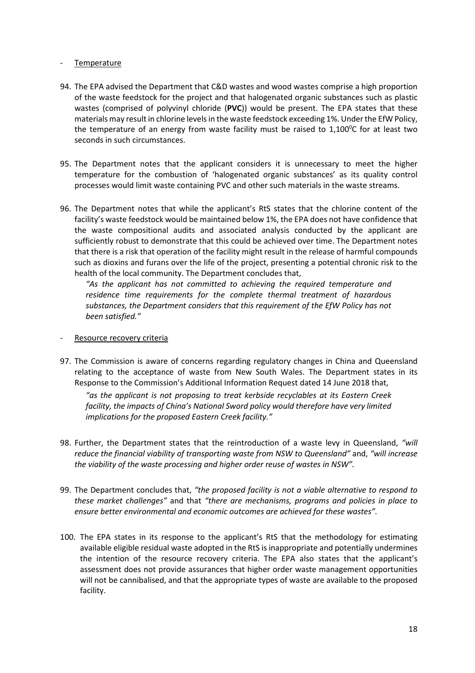### Temperature

- 94. The EPA advised the Department that C&D wastes and wood wastes comprise a high proportion of the waste feedstock for the project and that halogenated organic substances such as plastic wastes (comprised of polyvinyl chloride (**PVC**)) would be present. The EPA states that these materials may result in chlorine levels in the waste feedstock exceeding 1%. Under the EfW Policy, the temperature of an energy from waste facility must be raised to 1,100<sup>0</sup>C for at least two seconds in such circumstances.
- 95. The Department notes that the applicant considers it is unnecessary to meet the higher temperature for the combustion of 'halogenated organic substances' as its quality control processes would limit waste containing PVC and other such materials in the waste streams.
- 96. The Department notes that while the applicant's RtS states that the chlorine content of the facility's waste feedstock would be maintained below 1%, the EPA does not have confidence that the waste compositional audits and associated analysis conducted by the applicant are sufficiently robust to demonstrate that this could be achieved over time. The Department notes that there is a risk that operation of the facility might result in the release of harmful compounds such as dioxins and furans over the life of the project, presenting a potential chronic risk to the health of the local community. The Department concludes that,

*"As the applicant has not committed to achieving the required temperature and residence time requirements for the complete thermal treatment of hazardous substances, the Department considers that this requirement of the EfW Policy has not been satisfied."*

#### Resource recovery criteria

97. The Commission is aware of concerns regarding regulatory changes in China and Queensland relating to the acceptance of waste from New South Wales. The Department states in its Response to the Commission's Additional Information Request dated 14 June 2018 that,

*"as the applicant is not proposing to treat kerbside recyclables at its Eastern Creek facility, the impacts of China's National Sword policy would therefore have very limited implications for the proposed Eastern Creek facility."*

- 98. Further, the Department states that the reintroduction of a waste levy in Queensland, *"will reduce the financial viability of transporting waste from NSW to Queensland"* and, *"will increase the viability of the waste processing and higher order reuse of wastes in NSW".*
- 99. The Department concludes that, *"the proposed facility is not a viable alternative to respond to these market challenges"* and that *"there are mechanisms, programs and policies in place to ensure better environmental and economic outcomes are achieved for these wastes".*
- 100. The EPA states in its response to the applicant's RtS that the methodology for estimating available eligible residual waste adopted in the RtS is inappropriate and potentially undermines the intention of the resource recovery criteria. The EPA also states that the applicant's assessment does not provide assurances that higher order waste management opportunities will not be cannibalised, and that the appropriate types of waste are available to the proposed facility.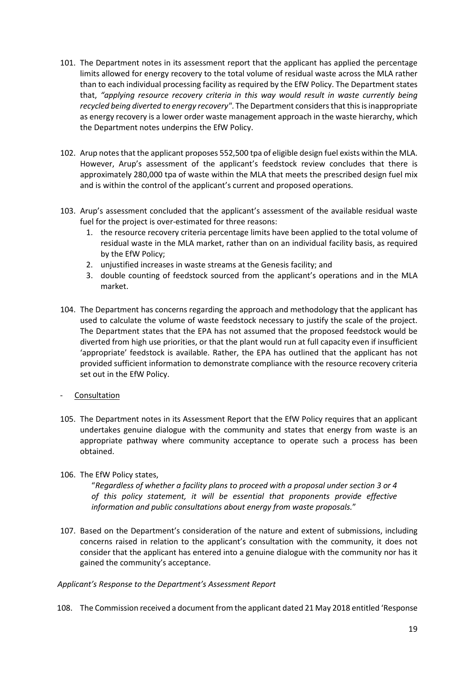- 101. The Department notes in its assessment report that the applicant has applied the percentage limits allowed for energy recovery to the total volume of residual waste across the MLA rather than to each individual processing facility as required by the EfW Policy. The Department states that, *"applying resource recovery criteria in this way would result in waste currently being recycled being diverted to energy recovery*". The Department considers that this is inappropriate as energy recovery is a lower order waste management approach in the waste hierarchy, which the Department notes underpins the EfW Policy.
- 102. Arup notes that the applicant proposes 552,500 tpa of eligible design fuel exists within the MLA. However, Arup's assessment of the applicant's feedstock review concludes that there is approximately 280,000 tpa of waste within the MLA that meets the prescribed design fuel mix and is within the control of the applicant's current and proposed operations.
- 103. Arup's assessment concluded that the applicant's assessment of the available residual waste fuel for the project is over-estimated for three reasons:
	- 1. the resource recovery criteria percentage limits have been applied to the total volume of residual waste in the MLA market, rather than on an individual facility basis, as required by the EfW Policy;
	- 2. unjustified increases in waste streams at the Genesis facility; and
	- 3. double counting of feedstock sourced from the applicant's operations and in the MLA market.
- 104. The Department has concerns regarding the approach and methodology that the applicant has used to calculate the volume of waste feedstock necessary to justify the scale of the project. The Department states that the EPA has not assumed that the proposed feedstock would be diverted from high use priorities, or that the plant would run at full capacity even if insufficient 'appropriate' feedstock is available. Rather, the EPA has outlined that the applicant has not provided sufficient information to demonstrate compliance with the resource recovery criteria set out in the EfW Policy.
- **Consultation**
- 105. The Department notes in its Assessment Report that the EfW Policy requires that an applicant undertakes genuine dialogue with the community and states that energy from waste is an appropriate pathway where community acceptance to operate such a process has been obtained.
- 106. The EfW Policy states,

"*Regardless of whether a facility plans to proceed with a proposal under section 3 or 4 of this policy statement, it will be essential that proponents provide effective information and public consultations about energy from waste proposals.*"

107. Based on the Department's consideration of the nature and extent of submissions, including concerns raised in relation to the applicant's consultation with the community, it does not consider that the applicant has entered into a genuine dialogue with the community nor has it gained the community's acceptance.

# *Applicant's Response to the Department's Assessment Report*

108. The Commission received a document from the applicant dated 21 May 2018 entitled 'Response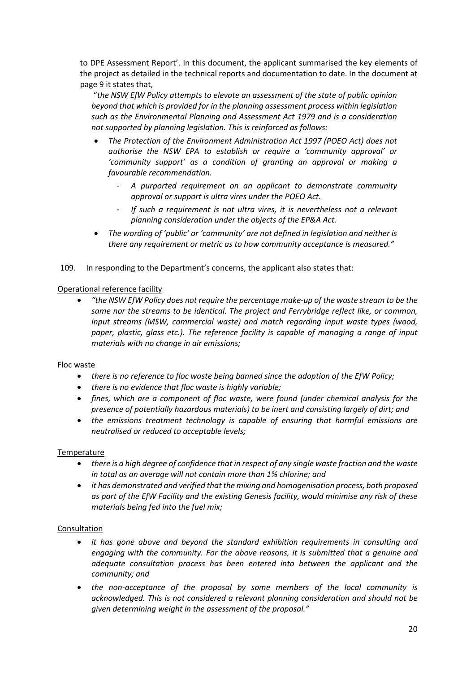to DPE Assessment Report'. In this document, the applicant summarised the key elements of the project as detailed in the technical reports and documentation to date. In the document at page 9 it states that,

"*the NSW EfW Policy attempts to elevate an assessment of the state of public opinion beyond that which is provided for in the planning assessment process within legislation such as the Environmental Planning and Assessment Act 1979 and is a consideration not supported by planning legislation. This is reinforced as follows:*

- *The Protection of the Environment Administration Act 1997 (POEO Act) does not authorise the NSW EPA to establish or require a 'community approval' or 'community support' as a condition of granting an approval or making a favourable recommendation.* 
	- *A purported requirement on an applicant to demonstrate community approval or support is ultra vires under the POEO Act.*
	- If such a requirement is not ultra vires, it is nevertheless not a relevant *planning consideration under the objects of the EP&A Act.*
- *The wording of 'public' or 'community' are not defined in legislation and neither is there any requirement or metric as to how community acceptance is measured."*
- 109. In responding to the Department's concerns, the applicant also states that:

## Operational reference facility

• *"the NSW EfW Policy does not require the percentage make-up of the waste stream to be the same nor the streams to be identical. The project and Ferrybridge reflect like, or common, input streams (MSW, commercial waste) and match regarding input waste types (wood, paper, plastic, glass etc.). The reference facility is capable of managing a range of input materials with no change in air emissions;*

#### Floc waste

- *there is no reference to floc waste being banned since the adoption of the EfW Policy;*
- *there is no evidence that floc waste is highly variable;*
- *fines, which are a component of floc waste, were found (under chemical analysis for the presence of potentially hazardous materials) to be inert and consisting largely of dirt; and*
- *the emissions treatment technology is capable of ensuring that harmful emissions are neutralised or reduced to acceptable levels;*

#### Temperature

- *there is a high degree of confidence that in respect of any single waste fraction and the waste in total as an average will not contain more than 1% chlorine; and*
- *it has demonstrated and verified that the mixing and homogenisation process, both proposed as part of the EfW Facility and the existing Genesis facility, would minimise any risk of these materials being fed into the fuel mix;*

#### **Consultation**

- *it has gone above and beyond the standard exhibition requirements in consulting and engaging with the community. For the above reasons, it is submitted that a genuine and adequate consultation process has been entered into between the applicant and the community; and*
- *the non-acceptance of the proposal by some members of the local community is acknowledged. This is not considered a relevant planning consideration and should not be given determining weight in the assessment of the proposal."*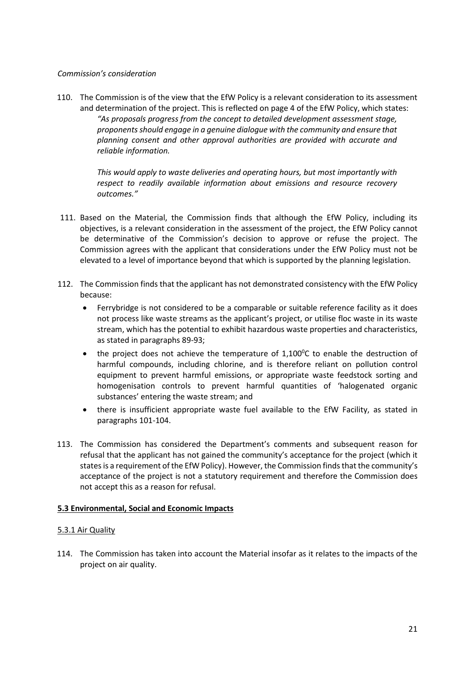### *Commission's consideration*

110. The Commission is of the view that the EfW Policy is a relevant consideration to its assessment and determination of the project. This is reflected on page 4 of the EfW Policy, which states: *"As proposals progress from the concept to detailed development assessment stage, proponents should engage in a genuine dialogue with the community and ensure that planning consent and other approval authorities are provided with accurate and reliable information.*

> *This would apply to waste deliveries and operating hours, but most importantly with respect to readily available information about emissions and resource recovery outcomes."*

- 111. Based on the Material, the Commission finds that although the EfW Policy, including its objectives, is a relevant consideration in the assessment of the project, the EfW Policy cannot be determinative of the Commission's decision to approve or refuse the project. The Commission agrees with the applicant that considerations under the EfW Policy must not be elevated to a level of importance beyond that which is supported by the planning legislation.
- 112. The Commission finds that the applicant has not demonstrated consistency with the EfW Policy because:
	- Ferrybridge is not considered to be a comparable or suitable reference facility as it does not process like waste streams as the applicant's project, or utilise floc waste in its waste stream, which has the potential to exhibit hazardous waste properties and characteristics, as stated in paragraphs 89-93;
	- the project does not achieve the temperature of  $1,100^{\circ}$ C to enable the destruction of harmful compounds, including chlorine, and is therefore reliant on pollution control equipment to prevent harmful emissions, or appropriate waste feedstock sorting and homogenisation controls to prevent harmful quantities of 'halogenated organic substances' entering the waste stream; and
	- there is insufficient appropriate waste fuel available to the EfW Facility, as stated in paragraphs 101-104.
- 113. The Commission has considered the Department's comments and subsequent reason for refusal that the applicant has not gained the community's acceptance for the project (which it states is a requirement of the EfW Policy). However, the Commission finds that the community's acceptance of the project is not a statutory requirement and therefore the Commission does not accept this as a reason for refusal.

# **5.3 Environmental, Social and Economic Impacts**

# 5.3.1 Air Quality

114. The Commission has taken into account the Material insofar as it relates to the impacts of the project on air quality.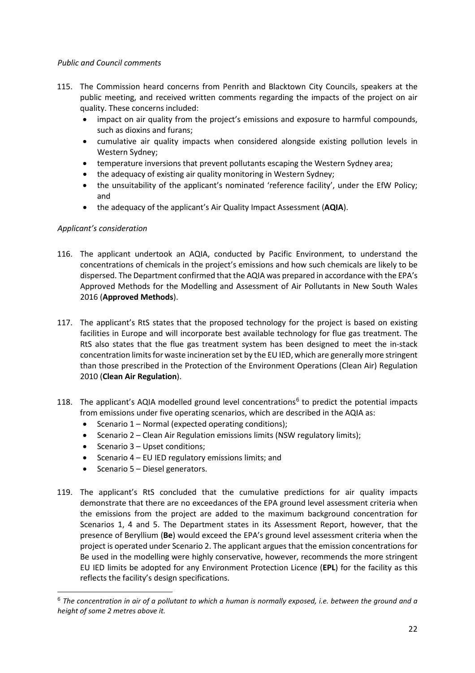## *Public and Council comments*

- 115. The Commission heard concerns from Penrith and Blacktown City Councils, speakers at the public meeting, and received written comments regarding the impacts of the project on air quality. These concerns included:
	- impact on air quality from the project's emissions and exposure to harmful compounds, such as dioxins and furans;
	- cumulative air quality impacts when considered alongside existing pollution levels in Western Sydney;
	- temperature inversions that prevent pollutants escaping the Western Sydney area;
	- the adequacy of existing air quality monitoring in Western Sydney;
	- the unsuitability of the applicant's nominated 'reference facility', under the EfW Policy; and
	- the adequacy of the applicant's Air Quality Impact Assessment (**AQIA**).

# *Applicant's consideration*

- 116. The applicant undertook an AQIA, conducted by Pacific Environment, to understand the concentrations of chemicals in the project's emissions and how such chemicals are likely to be dispersed. The Department confirmed that the AQIA was prepared in accordance with the EPA's Approved Methods for the Modelling and Assessment of Air Pollutants in New South Wales 2016 (**Approved Methods**).
- 117. The applicant's RtS states that the proposed technology for the project is based on existing facilities in Europe and will incorporate best available technology for flue gas treatment. The RtS also states that the flue gas treatment system has been designed to meet the in-stack concentration limits for waste incineration set by the EU IED, which are generally more stringent than those prescribed in the Protection of the Environment Operations (Clean Air) Regulation 2010 (**Clean Air Regulation**).
- 118. The applicant's AQIA modelled ground level concentrations<sup>[6](#page-21-0)</sup> to predict the potential impacts from emissions under five operating scenarios, which are described in the AQIA as:
	- Scenario 1 Normal (expected operating conditions);
	- Scenario 2 Clean Air Regulation emissions limits (NSW regulatory limits);
	- Scenario 3 Upset conditions;
	- Scenario 4 EU IED regulatory emissions limits; and
	- Scenario 5 Diesel generators.
- 119. The applicant's RtS concluded that the cumulative predictions for air quality impacts demonstrate that there are no exceedances of the EPA ground level assessment criteria when the emissions from the project are added to the maximum background concentration for Scenarios 1, 4 and 5. The Department states in its Assessment Report, however, that the presence of Beryllium (**Be**) would exceed the EPA's ground level assessment criteria when the project is operated under Scenario 2. The applicant argues that the emission concentrations for Be used in the modelling were highly conservative, however, recommends the more stringent EU IED limits be adopted for any Environment Protection Licence (**EPL**) for the facility as this reflects the facility's design specifications.

<span id="page-21-0"></span> <sup>6</sup> *The concentration in air of a pollutant to which a human is normally exposed, i.e. between the ground and a height of some 2 metres above it.*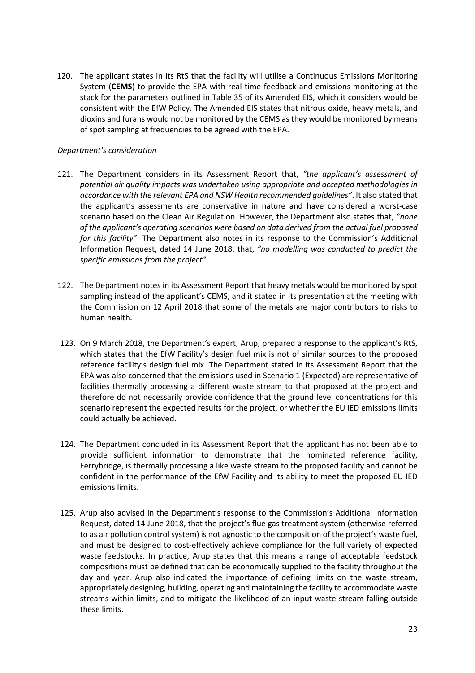120. The applicant states in its RtS that the facility will utilise a Continuous Emissions Monitoring System (**CEMS**) to provide the EPA with real time feedback and emissions monitoring at the stack for the parameters outlined in Table 35 of its Amended EIS, which it considers would be consistent with the EfW Policy. The Amended EIS states that nitrous oxide, heavy metals, and dioxins and furans would not be monitored by the CEMS as they would be monitored by means of spot sampling at frequencies to be agreed with the EPA.

## *Department's consideration*

- 121. The Department considers in its Assessment Report that, *"the applicant's assessment of potential air quality impacts was undertaken using appropriate and accepted methodologies in accordance with the relevant EPA and NSW Health recommended guidelines"*. It also stated that the applicant's assessments are conservative in nature and have considered a worst-case scenario based on the Clean Air Regulation. However, the Department also states that, *"none of the applicant's operating scenarios were based on data derived from the actual fuel proposed for this facility"*. The Department also notes in its response to the Commission's Additional Information Request, dated 14 June 2018, that, *"no modelling was conducted to predict the specific emissions from the project".*
- 122. The Department notes in its Assessment Report that heavy metals would be monitored by spot sampling instead of the applicant's CEMS, and it stated in its presentation at the meeting with the Commission on 12 April 2018 that some of the metals are major contributors to risks to human health.
- 123. On 9 March 2018, the Department's expert, Arup, prepared a response to the applicant's RtS, which states that the EfW Facility's design fuel mix is not of similar sources to the proposed reference facility's design fuel mix. The Department stated in its Assessment Report that the EPA was also concerned that the emissions used in Scenario 1 (Expected) are representative of facilities thermally processing a different waste stream to that proposed at the project and therefore do not necessarily provide confidence that the ground level concentrations for this scenario represent the expected results for the project, or whether the EU IED emissions limits could actually be achieved.
- 124. The Department concluded in its Assessment Report that the applicant has not been able to provide sufficient information to demonstrate that the nominated reference facility, Ferrybridge, is thermally processing a like waste stream to the proposed facility and cannot be confident in the performance of the EfW Facility and its ability to meet the proposed EU IED emissions limits.
- 125. Arup also advised in the Department's response to the Commission's Additional Information Request, dated 14 June 2018, that the project's flue gas treatment system (otherwise referred to as air pollution control system) is not agnostic to the composition of the project's waste fuel, and must be designed to cost-effectively achieve compliance for the full variety of expected waste feedstocks. In practice, Arup states that this means a range of acceptable feedstock compositions must be defined that can be economically supplied to the facility throughout the day and year. Arup also indicated the importance of defining limits on the waste stream, appropriately designing, building, operating and maintaining the facility to accommodate waste streams within limits, and to mitigate the likelihood of an input waste stream falling outside these limits.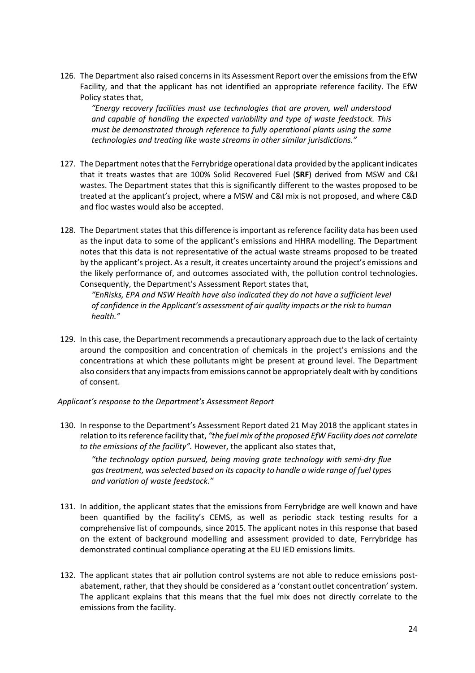126. The Department also raised concerns in its Assessment Report over the emissions from the EfW Facility, and that the applicant has not identified an appropriate reference facility. The EfW Policy states that,

*"Energy recovery facilities must use technologies that are proven, well understood and capable of handling the expected variability and type of waste feedstock. This must be demonstrated through reference to fully operational plants using the same technologies and treating like waste streams in other similar jurisdictions."*

- 127. The Department notes that the Ferrybridge operational data provided by the applicant indicates that it treats wastes that are 100% Solid Recovered Fuel (**SRF**) derived from MSW and C&I wastes. The Department states that this is significantly different to the wastes proposed to be treated at the applicant's project, where a MSW and C&I mix is not proposed, and where C&D and floc wastes would also be accepted.
- 128. The Department states that this difference is important as reference facility data has been used as the input data to some of the applicant's emissions and HHRA modelling. The Department notes that this data is not representative of the actual waste streams proposed to be treated by the applicant's project. As a result, it creates uncertainty around the project's emissions and the likely performance of, and outcomes associated with, the pollution control technologies. Consequently, the Department's Assessment Report states that,

*"EnRisks, EPA and NSW Health have also indicated they do not have a sufficient level of confidence in the Applicant's assessment of air quality impacts or the risk to human health."*

129. In this case, the Department recommends a precautionary approach due to the lack of certainty around the composition and concentration of chemicals in the project's emissions and the concentrations at which these pollutants might be present at ground level. The Department also considers that any impacts from emissions cannot be appropriately dealt with by conditions of consent.

#### *Applicant's response to the Department's Assessment Report*

130. In response to the Department's Assessment Report dated 21 May 2018 the applicant states in relation to its reference facility that, *"the fuel mix of the proposed EfW Facility does not correlate to the emissions of the facility".* However, the applicant also states that,

*"the technology option pursued, being moving grate technology with semi-dry flue gas treatment, was selected based on its capacity to handle a wide range of fuel types and variation of waste feedstock."*

- 131. In addition, the applicant states that the emissions from Ferrybridge are well known and have been quantified by the facility's CEMS, as well as periodic stack testing results for a comprehensive list of compounds, since 2015. The applicant notes in this response that based on the extent of background modelling and assessment provided to date, Ferrybridge has demonstrated continual compliance operating at the EU IED emissions limits.
- 132. The applicant states that air pollution control systems are not able to reduce emissions postabatement, rather, that they should be considered as a 'constant outlet concentration' system. The applicant explains that this means that the fuel mix does not directly correlate to the emissions from the facility.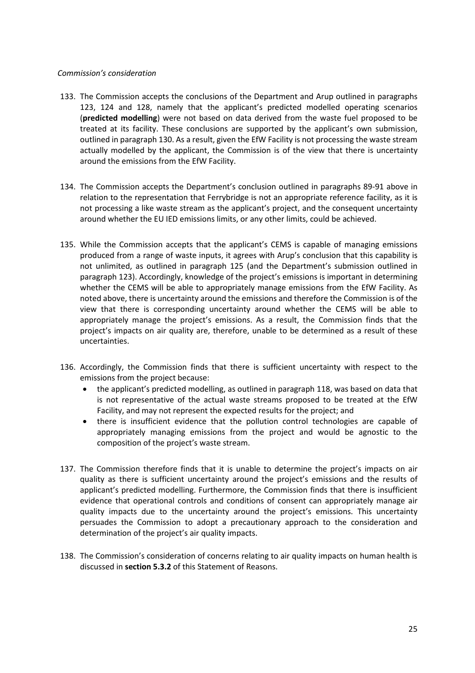#### *Commission's consideration*

- 133. The Commission accepts the conclusions of the Department and Arup outlined in paragraphs 123, 124 and 128, namely that the applicant's predicted modelled operating scenarios (**predicted modelling**) were not based on data derived from the waste fuel proposed to be treated at its facility. These conclusions are supported by the applicant's own submission, outlined in paragraph 130. As a result, given the EfW Facility is not processing the waste stream actually modelled by the applicant, the Commission is of the view that there is uncertainty around the emissions from the EfW Facility.
- 134. The Commission accepts the Department's conclusion outlined in paragraphs 89-91 above in relation to the representation that Ferrybridge is not an appropriate reference facility, as it is not processing a like waste stream as the applicant's project, and the consequent uncertainty around whether the EU IED emissions limits, or any other limits, could be achieved.
- 135. While the Commission accepts that the applicant's CEMS is capable of managing emissions produced from a range of waste inputs, it agrees with Arup's conclusion that this capability is not unlimited, as outlined in paragraph 125 (and the Department's submission outlined in paragraph 123). Accordingly, knowledge of the project's emissions is important in determining whether the CEMS will be able to appropriately manage emissions from the EfW Facility. As noted above, there is uncertainty around the emissions and therefore the Commission is of the view that there is corresponding uncertainty around whether the CEMS will be able to appropriately manage the project's emissions. As a result, the Commission finds that the project's impacts on air quality are, therefore, unable to be determined as a result of these uncertainties.
- 136. Accordingly, the Commission finds that there is sufficient uncertainty with respect to the emissions from the project because:
	- the applicant's predicted modelling, as outlined in paragraph 118, was based on data that is not representative of the actual waste streams proposed to be treated at the EfW Facility, and may not represent the expected results for the project; and
	- there is insufficient evidence that the pollution control technologies are capable of appropriately managing emissions from the project and would be agnostic to the composition of the project's waste stream.
- 137. The Commission therefore finds that it is unable to determine the project's impacts on air quality as there is sufficient uncertainty around the project's emissions and the results of applicant's predicted modelling. Furthermore, the Commission finds that there is insufficient evidence that operational controls and conditions of consent can appropriately manage air quality impacts due to the uncertainty around the project's emissions. This uncertainty persuades the Commission to adopt a precautionary approach to the consideration and determination of the project's air quality impacts.
- 138. The Commission's consideration of concerns relating to air quality impacts on human health is discussed in **section 5.3.2** of this Statement of Reasons.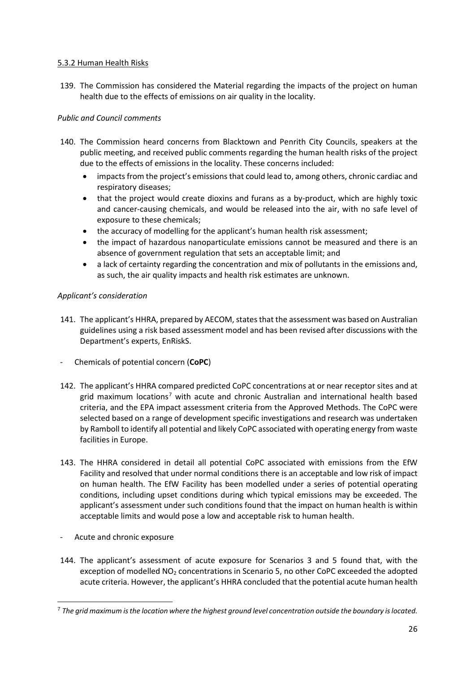## 5.3.2 Human Health Risks

139. The Commission has considered the Material regarding the impacts of the project on human health due to the effects of emissions on air quality in the locality.

# *Public and Council comments*

- 140. The Commission heard concerns from Blacktown and Penrith City Councils, speakers at the public meeting, and received public comments regarding the human health risks of the project due to the effects of emissions in the locality. These concerns included:
	- impacts from the project's emissions that could lead to, among others, chronic cardiac and respiratory diseases;
	- that the project would create dioxins and furans as a by-product, which are highly toxic and cancer-causing chemicals, and would be released into the air, with no safe level of exposure to these chemicals;
	- the accuracy of modelling for the applicant's human health risk assessment;
	- the impact of hazardous nanoparticulate emissions cannot be measured and there is an absence of government regulation that sets an acceptable limit; and
	- a lack of certainty regarding the concentration and mix of pollutants in the emissions and, as such, the air quality impacts and health risk estimates are unknown.

# *Applicant's consideration*

- 141. The applicant's HHRA, prepared by AECOM, states that the assessment was based on Australian guidelines using a risk based assessment model and has been revised after discussions with the Department's experts, EnRiskS.
- Chemicals of potential concern (**CoPC**)
- 142. The applicant's HHRA compared predicted CoPC concentrations at or near receptor sites and at grid maximum locations[7](#page-25-0) with acute and chronic Australian and international health based criteria, and the EPA impact assessment criteria from the Approved Methods. The CoPC were selected based on a range of development specific investigations and research was undertaken by Ramboll to identify all potential and likely CoPC associated with operating energy from waste facilities in Europe.
- 143. The HHRA considered in detail all potential CoPC associated with emissions from the EfW Facility and resolved that under normal conditions there is an acceptable and low risk of impact on human health. The EfW Facility has been modelled under a series of potential operating conditions, including upset conditions during which typical emissions may be exceeded. The applicant's assessment under such conditions found that the impact on human health is within acceptable limits and would pose a low and acceptable risk to human health.
- Acute and chronic exposure
- 144. The applicant's assessment of acute exposure for Scenarios 3 and 5 found that, with the exception of modelled NO<sub>2</sub> concentrations in Scenario 5, no other CoPC exceeded the adopted acute criteria. However, the applicant's HHRA concluded that the potential acute human health

<span id="page-25-0"></span> <sup>7</sup> *The grid maximum is the location where the highest ground level concentration outside the boundary is located.*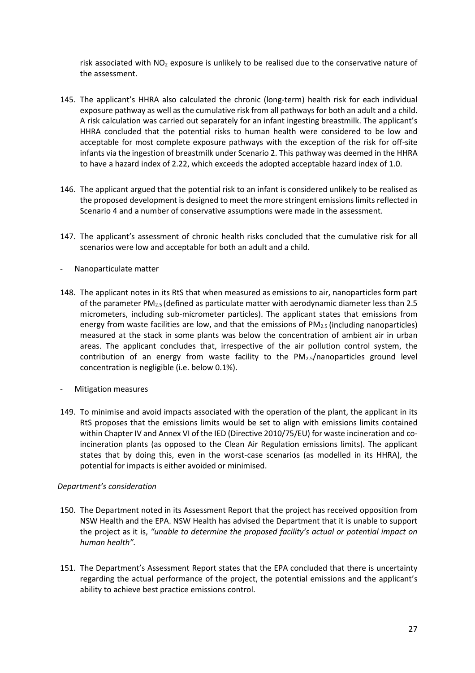risk associated with  $NO<sub>2</sub>$  exposure is unlikely to be realised due to the conservative nature of the assessment.

- 145. The applicant's HHRA also calculated the chronic (long-term) health risk for each individual exposure pathway as well as the cumulative risk from all pathways for both an adult and a child. A risk calculation was carried out separately for an infant ingesting breastmilk. The applicant's HHRA concluded that the potential risks to human health were considered to be low and acceptable for most complete exposure pathways with the exception of the risk for off-site infants via the ingestion of breastmilk under Scenario 2. This pathway was deemed in the HHRA to have a hazard index of 2.22, which exceeds the adopted acceptable hazard index of 1.0.
- 146. The applicant argued that the potential risk to an infant is considered unlikely to be realised as the proposed development is designed to meet the more stringent emissions limits reflected in Scenario 4 and a number of conservative assumptions were made in the assessment.
- 147. The applicant's assessment of chronic health risks concluded that the cumulative risk for all scenarios were low and acceptable for both an adult and a child.
- Nanoparticulate matter
- 148. The applicant notes in its RtS that when measured as emissions to air, nanoparticles form part of the parameter PM2.5 (defined as particulate matter with aerodynamic diameter less than 2.5 micrometers, including sub-micrometer particles). The applicant states that emissions from energy from waste facilities are low, and that the emissions of  $PM_{2.5}$  (including nanoparticles) measured at the stack in some plants was below the concentration of ambient air in urban areas. The applicant concludes that, irrespective of the air pollution control system, the contribution of an energy from waste facility to the  $PM_{2.5}/$ nanoparticles ground level concentration is negligible (i.e. below 0.1%).
- Mitigation measures
- 149. To minimise and avoid impacts associated with the operation of the plant, the applicant in its RtS proposes that the emissions limits would be set to align with emissions limits contained within Chapter IV and Annex VI of the IED (Directive 2010/75/EU) for waste incineration and coincineration plants (as opposed to the Clean Air Regulation emissions limits). The applicant states that by doing this, even in the worst-case scenarios (as modelled in its HHRA), the potential for impacts is either avoided or minimised.

#### *Department's consideration*

- 150. The Department noted in its Assessment Report that the project has received opposition from NSW Health and the EPA. NSW Health has advised the Department that it is unable to support the project as it is, *"unable to determine the proposed facility's actual or potential impact on human health".*
- 151. The Department's Assessment Report states that the EPA concluded that there is uncertainty regarding the actual performance of the project, the potential emissions and the applicant's ability to achieve best practice emissions control.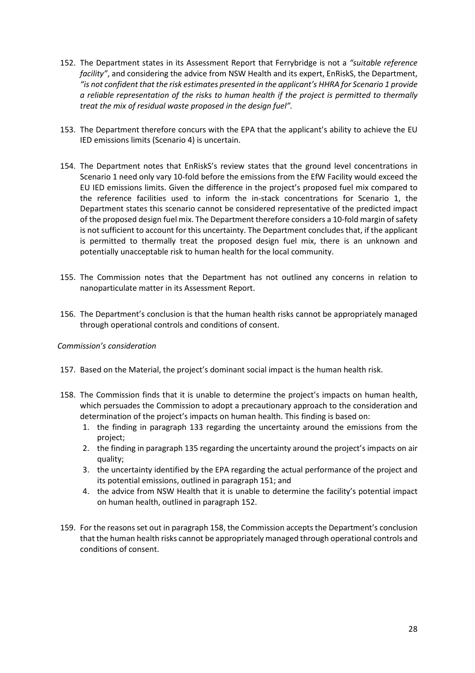- 152. The Department states in its Assessment Report that Ferrybridge is not a *"suitable reference facility"*, and considering the advice from NSW Health and its expert, EnRiskS, the Department, *"is not confident that the risk estimates presented in the applicant's HHRA for Scenario 1 provide a reliable representation of the risks to human health if the project is permitted to thermally treat the mix of residual waste proposed in the design fuel".*
- 153. The Department therefore concurs with the EPA that the applicant's ability to achieve the EU IED emissions limits (Scenario 4) is uncertain.
- 154. The Department notes that EnRiskS's review states that the ground level concentrations in Scenario 1 need only vary 10-fold before the emissions from the EfW Facility would exceed the EU IED emissions limits. Given the difference in the project's proposed fuel mix compared to the reference facilities used to inform the in-stack concentrations for Scenario 1, the Department states this scenario cannot be considered representative of the predicted impact of the proposed design fuel mix. The Department therefore considers a 10-fold margin of safety is not sufficient to account for this uncertainty. The Department concludes that, if the applicant is permitted to thermally treat the proposed design fuel mix, there is an unknown and potentially unacceptable risk to human health for the local community.
- 155. The Commission notes that the Department has not outlined any concerns in relation to nanoparticulate matter in its Assessment Report.
- 156. The Department's conclusion is that the human health risks cannot be appropriately managed through operational controls and conditions of consent.

#### *Commission's consideration*

- 157. Based on the Material, the project's dominant social impact is the human health risk.
- 158. The Commission finds that it is unable to determine the project's impacts on human health, which persuades the Commission to adopt a precautionary approach to the consideration and determination of the project's impacts on human health. This finding is based on:
	- 1. the finding in paragraph 133 regarding the uncertainty around the emissions from the project;
	- 2. the finding in paragraph 135 regarding the uncertainty around the project's impacts on air quality;
	- 3. the uncertainty identified by the EPA regarding the actual performance of the project and its potential emissions, outlined in paragraph 151; and
	- 4. the advice from NSW Health that it is unable to determine the facility's potential impact on human health, outlined in paragraph 152.
- 159. For the reasons set out in paragraph 158, the Commission accepts the Department's conclusion that the human health risks cannot be appropriately managed through operational controls and conditions of consent.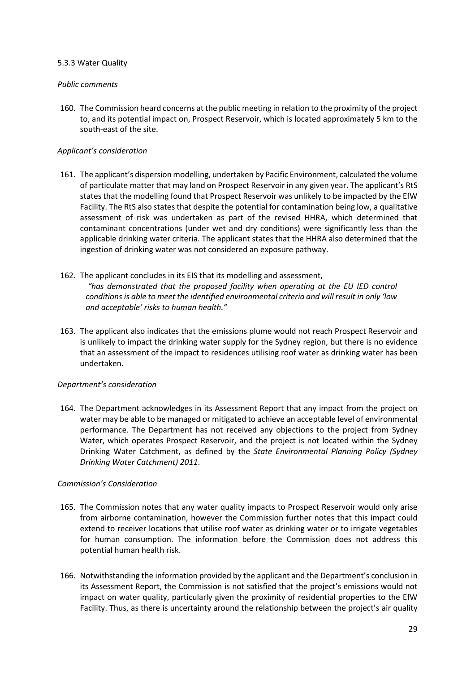## 5.3.3 Water Quality

### *Public comments*

160. The Commission heard concerns at the public meeting in relation to the proximity of the project to, and its potential impact on, Prospect Reservoir, which is located approximately 5 km to the south-east of the site.

## *Applicant's consideration*

- 161. The applicant's dispersion modelling, undertaken by Pacific Environment, calculated the volume of particulate matter that may land on Prospect Reservoir in any given year. The applicant's RtS states that the modelling found that Prospect Reservoir was unlikely to be impacted by the EfW Facility. The RtS also states that despite the potential for contamination being low, a qualitative assessment of risk was undertaken as part of the revised HHRA, which determined that contaminant concentrations (under wet and dry conditions) were significantly less than the applicable drinking water criteria. The applicant states that the HHRA also determined that the ingestion of drinking water was not considered an exposure pathway.
- 162. The applicant concludes in its EIS that its modelling and assessment, *"has demonstrated that the proposed facility when operating at the EU IED control conditions is able to meet the identified environmental criteria and will result in only 'low and acceptable' risks to human health."*
- 163. The applicant also indicates that the emissions plume would not reach Prospect Reservoir and is unlikely to impact the drinking water supply for the Sydney region, but there is no evidence that an assessment of the impact to residences utilising roof water as drinking water has been undertaken.

# *Department's consideration*

164. The Department acknowledges in its Assessment Report that any impact from the project on water may be able to be managed or mitigated to achieve an acceptable level of environmental performance. The Department has not received any objections to the project from Sydney Water, which operates Prospect Reservoir, and the project is not located within the Sydney Drinking Water Catchment, as defined by the *State Environmental Planning Policy (Sydney Drinking Water Catchment) 2011*.

#### *Commission's Consideration*

- 165. The Commission notes that any water quality impacts to Prospect Reservoir would only arise from airborne contamination, however the Commission further notes that this impact could extend to receiver locations that utilise roof water as drinking water or to irrigate vegetables for human consumption. The information before the Commission does not address this potential human health risk.
- 166. Notwithstanding the information provided by the applicant and the Department's conclusion in its Assessment Report, the Commission is not satisfied that the project's emissions would not impact on water quality, particularly given the proximity of residential properties to the EfW Facility. Thus, as there is uncertainty around the relationship between the project's air quality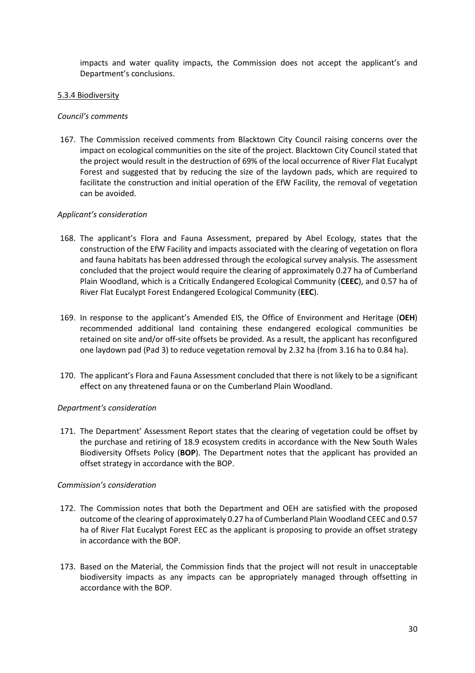impacts and water quality impacts, the Commission does not accept the applicant's and Department's conclusions.

#### 5.3.4 Biodiversity

#### *Council's comments*

167. The Commission received comments from Blacktown City Council raising concerns over the impact on ecological communities on the site of the project. Blacktown City Council stated that the project would result in the destruction of 69% of the local occurrence of River Flat Eucalypt Forest and suggested that by reducing the size of the laydown pads, which are required to facilitate the construction and initial operation of the EfW Facility, the removal of vegetation can be avoided.

#### *Applicant's consideration*

- 168. The applicant's Flora and Fauna Assessment, prepared by Abel Ecology, states that the construction of the EfW Facility and impacts associated with the clearing of vegetation on flora and fauna habitats has been addressed through the ecological survey analysis. The assessment concluded that the project would require the clearing of approximately 0.27 ha of Cumberland Plain Woodland, which is a Critically Endangered Ecological Community (**CEEC**), and 0.57 ha of River Flat Eucalypt Forest Endangered Ecological Community (**EEC**).
- 169. In response to the applicant's Amended EIS, the Office of Environment and Heritage (**OEH**) recommended additional land containing these endangered ecological communities be retained on site and/or off-site offsets be provided. As a result, the applicant has reconfigured one laydown pad (Pad 3) to reduce vegetation removal by 2.32 ha (from 3.16 ha to 0.84 ha).
- 170. The applicant's Flora and Fauna Assessment concluded that there is not likely to be a significant effect on any threatened fauna or on the Cumberland Plain Woodland.

#### *Department's consideration*

171. The Department' Assessment Report states that the clearing of vegetation could be offset by the purchase and retiring of 18.9 ecosystem credits in accordance with the New South Wales Biodiversity Offsets Policy (**BOP**). The Department notes that the applicant has provided an offset strategy in accordance with the BOP.

#### *Commission's consideration*

- 172. The Commission notes that both the Department and OEH are satisfied with the proposed outcome of the clearing of approximately 0.27 ha of Cumberland Plain Woodland CEEC and 0.57 ha of River Flat Eucalypt Forest EEC as the applicant is proposing to provide an offset strategy in accordance with the BOP.
- 173. Based on the Material, the Commission finds that the project will not result in unacceptable biodiversity impacts as any impacts can be appropriately managed through offsetting in accordance with the BOP.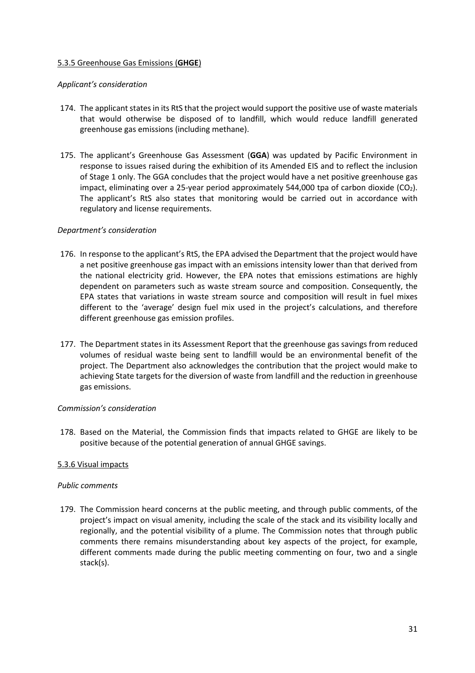## 5.3.5 Greenhouse Gas Emissions (**GHGE**)

#### *Applicant's consideration*

- 174. The applicant states in its RtS that the project would support the positive use of waste materials that would otherwise be disposed of to landfill, which would reduce landfill generated greenhouse gas emissions (including methane).
- 175. The applicant's Greenhouse Gas Assessment (**GGA**) was updated by Pacific Environment in response to issues raised during the exhibition of its Amended EIS and to reflect the inclusion of Stage 1 only. The GGA concludes that the project would have a net positive greenhouse gas impact, eliminating over a 25-year period approximately 544,000 tpa of carbon dioxide (CO<sub>2</sub>). The applicant's RtS also states that monitoring would be carried out in accordance with regulatory and license requirements.

#### *Department's consideration*

- 176. In response to the applicant's RtS, the EPA advised the Department that the project would have a net positive greenhouse gas impact with an emissions intensity lower than that derived from the national electricity grid. However, the EPA notes that emissions estimations are highly dependent on parameters such as waste stream source and composition. Consequently, the EPA states that variations in waste stream source and composition will result in fuel mixes different to the 'average' design fuel mix used in the project's calculations, and therefore different greenhouse gas emission profiles.
- 177. The Department states in its Assessment Report that the greenhouse gas savings from reduced volumes of residual waste being sent to landfill would be an environmental benefit of the project. The Department also acknowledges the contribution that the project would make to achieving State targets for the diversion of waste from landfill and the reduction in greenhouse gas emissions.

#### *Commission's consideration*

178. Based on the Material, the Commission finds that impacts related to GHGE are likely to be positive because of the potential generation of annual GHGE savings.

#### 5.3.6 Visual impacts

#### *Public comments*

179. The Commission heard concerns at the public meeting, and through public comments, of the project's impact on visual amenity, including the scale of the stack and its visibility locally and regionally, and the potential visibility of a plume. The Commission notes that through public comments there remains misunderstanding about key aspects of the project, for example, different comments made during the public meeting commenting on four, two and a single stack(s).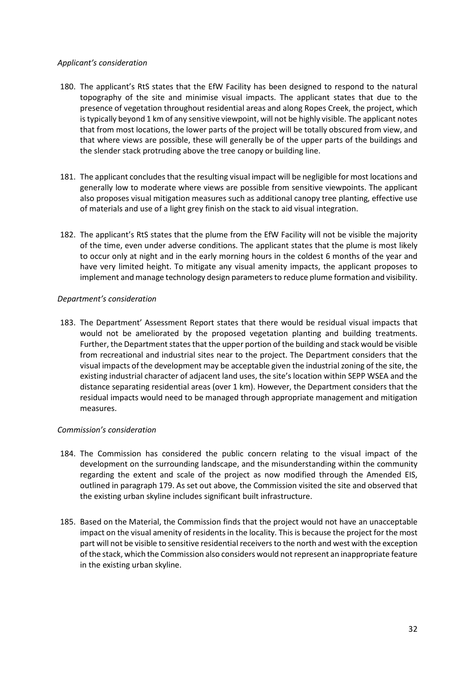### *Applicant's consideration*

- 180. The applicant's RtS states that the EfW Facility has been designed to respond to the natural topography of the site and minimise visual impacts. The applicant states that due to the presence of vegetation throughout residential areas and along Ropes Creek, the project, which is typically beyond 1 km of any sensitive viewpoint, will not be highly visible. The applicant notes that from most locations, the lower parts of the project will be totally obscured from view, and that where views are possible, these will generally be of the upper parts of the buildings and the slender stack protruding above the tree canopy or building line.
- 181. The applicant concludes that the resulting visual impact will be negligible for most locations and generally low to moderate where views are possible from sensitive viewpoints. The applicant also proposes visual mitigation measures such as additional canopy tree planting, effective use of materials and use of a light grey finish on the stack to aid visual integration.
- 182. The applicant's RtS states that the plume from the EfW Facility will not be visible the majority of the time, even under adverse conditions. The applicant states that the plume is most likely to occur only at night and in the early morning hours in the coldest 6 months of the year and have very limited height. To mitigate any visual amenity impacts, the applicant proposes to implement and manage technology design parameters to reduce plume formation and visibility.

# *Department's consideration*

183. The Department' Assessment Report states that there would be residual visual impacts that would not be ameliorated by the proposed vegetation planting and building treatments. Further, the Department states that the upper portion of the building and stack would be visible from recreational and industrial sites near to the project. The Department considers that the visual impacts of the development may be acceptable given the industrial zoning of the site, the existing industrial character of adjacent land uses, the site's location within SEPP WSEA and the distance separating residential areas (over 1 km). However, the Department considers that the residual impacts would need to be managed through appropriate management and mitigation measures.

# *Commission's consideration*

- 184. The Commission has considered the public concern relating to the visual impact of the development on the surrounding landscape, and the misunderstanding within the community regarding the extent and scale of the project as now modified through the Amended EIS, outlined in paragraph 179. As set out above, the Commission visited the site and observed that the existing urban skyline includes significant built infrastructure.
- 185. Based on the Material, the Commission finds that the project would not have an unacceptable impact on the visual amenity of residents in the locality. This is because the project for the most part will not be visible to sensitive residential receivers to the north and west with the exception of the stack, which the Commission also considers would not represent an inappropriate feature in the existing urban skyline.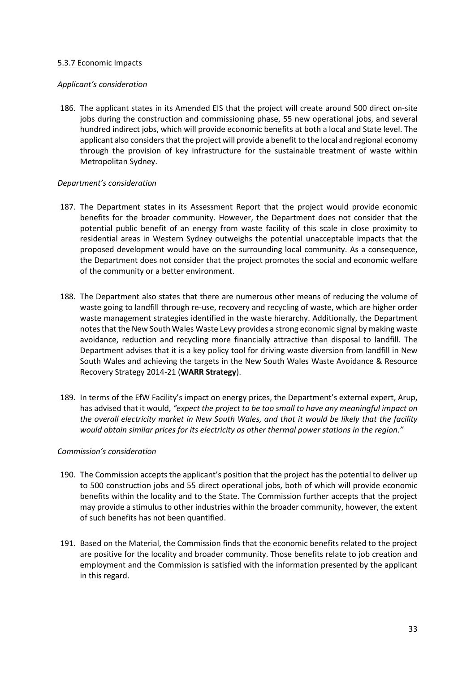### 5.3.7 Economic Impacts

### *Applicant's consideration*

186. The applicant states in its Amended EIS that the project will create around 500 direct on-site jobs during the construction and commissioning phase, 55 new operational jobs, and several hundred indirect jobs, which will provide economic benefits at both a local and State level. The applicant also considers that the project will provide a benefit to the local and regional economy through the provision of key infrastructure for the sustainable treatment of waste within Metropolitan Sydney.

## *Department's consideration*

- 187. The Department states in its Assessment Report that the project would provide economic benefits for the broader community. However, the Department does not consider that the potential public benefit of an energy from waste facility of this scale in close proximity to residential areas in Western Sydney outweighs the potential unacceptable impacts that the proposed development would have on the surrounding local community. As a consequence, the Department does not consider that the project promotes the social and economic welfare of the community or a better environment.
- 188. The Department also states that there are numerous other means of reducing the volume of waste going to landfill through re-use, recovery and recycling of waste, which are higher order waste management strategies identified in the waste hierarchy. Additionally, the Department notes that the New South Wales Waste Levy provides a strong economic signal by making waste avoidance, reduction and recycling more financially attractive than disposal to landfill. The Department advises that it is a key policy tool for driving waste diversion from landfill in New South Wales and achieving the targets in the New South Wales Waste Avoidance & Resource Recovery Strategy 2014-21 (**WARR Strategy**).
- 189. In terms of the EfW Facility's impact on energy prices, the Department's external expert, Arup, has advised that it would, *"expect the project to be too small to have any meaningful impact on the overall electricity market in New South Wales, and that it would be likely that the facility would obtain similar prices for its electricity as other thermal power stations in the region."*

#### *Commission's consideration*

- 190. The Commission accepts the applicant's position that the project has the potential to deliver up to 500 construction jobs and 55 direct operational jobs, both of which will provide economic benefits within the locality and to the State. The Commission further accepts that the project may provide a stimulus to other industries within the broader community, however, the extent of such benefits has not been quantified.
- 191. Based on the Material, the Commission finds that the economic benefits related to the project are positive for the locality and broader community. Those benefits relate to job creation and employment and the Commission is satisfied with the information presented by the applicant in this regard.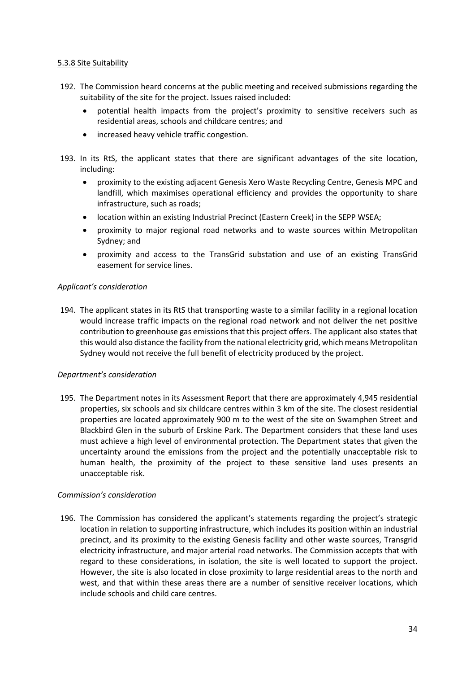### 5.3.8 Site Suitability

- 192. The Commission heard concerns at the public meeting and received submissions regarding the suitability of the site for the project. Issues raised included:
	- potential health impacts from the project's proximity to sensitive receivers such as residential areas, schools and childcare centres; and
	- increased heavy vehicle traffic congestion.
- 193. In its RtS, the applicant states that there are significant advantages of the site location, including:
	- proximity to the existing adjacent Genesis Xero Waste Recycling Centre, Genesis MPC and landfill, which maximises operational efficiency and provides the opportunity to share infrastructure, such as roads;
	- location within an existing Industrial Precinct (Eastern Creek) in the SEPP WSEA;
	- proximity to major regional road networks and to waste sources within Metropolitan Sydney; and
	- proximity and access to the TransGrid substation and use of an existing TransGrid easement for service lines.

## *Applicant's consideration*

194. The applicant states in its RtS that transporting waste to a similar facility in a regional location would increase traffic impacts on the regional road network and not deliver the net positive contribution to greenhouse gas emissions that this project offers. The applicant also states that this would also distance the facility from the national electricity grid, which means Metropolitan Sydney would not receive the full benefit of electricity produced by the project.

# *Department's consideration*

195. The Department notes in its Assessment Report that there are approximately 4,945 residential properties, six schools and six childcare centres within 3 km of the site. The closest residential properties are located approximately 900 m to the west of the site on Swamphen Street and Blackbird Glen in the suburb of Erskine Park. The Department considers that these land uses must achieve a high level of environmental protection. The Department states that given the uncertainty around the emissions from the project and the potentially unacceptable risk to human health, the proximity of the project to these sensitive land uses presents an unacceptable risk.

#### *Commission's consideration*

196. The Commission has considered the applicant's statements regarding the project's strategic location in relation to supporting infrastructure, which includes its position within an industrial precinct, and its proximity to the existing Genesis facility and other waste sources, Transgrid electricity infrastructure, and major arterial road networks. The Commission accepts that with regard to these considerations, in isolation, the site is well located to support the project. However, the site is also located in close proximity to large residential areas to the north and west, and that within these areas there are a number of sensitive receiver locations, which include schools and child care centres.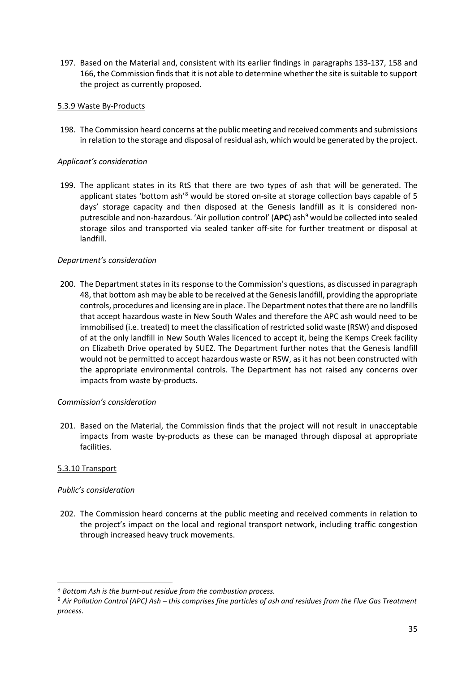197. Based on the Material and, consistent with its earlier findings in paragraphs 133-137, 158 and 166, the Commission finds that it is not able to determine whether the site is suitable to support the project as currently proposed.

## 5.3.9 Waste By-Products

198. The Commission heard concerns at the public meeting and received comments and submissions in relation to the storage and disposal of residual ash, which would be generated by the project.

### *Applicant's consideration*

199. The applicant states in its RtS that there are two types of ash that will be generated. The applicant states 'bottom ash'<sup>[8](#page-34-0)</sup> would be stored on-site at storage collection bays capable of 5 days' storage capacity and then disposed at the Genesis landfill as it is considered non-putrescible and non-hazardous. 'Air pollution control' (APC) ash<sup>[9](#page-34-1)</sup> would be collected into sealed storage silos and transported via sealed tanker off-site for further treatment or disposal at landfill.

## *Department's consideration*

200. The Department states in its response to the Commission's questions, as discussed in paragraph 48, that bottom ash may be able to be received at the Genesis landfill, providing the appropriate controls, procedures and licensing are in place. The Department notes that there are no landfills that accept hazardous waste in New South Wales and therefore the APC ash would need to be immobilised (i.e. treated) to meet the classification of restricted solid waste (RSW) and disposed of at the only landfill in New South Wales licenced to accept it, being the Kemps Creek facility on Elizabeth Drive operated by SUEZ. The Department further notes that the Genesis landfill would not be permitted to accept hazardous waste or RSW, as it has not been constructed with the appropriate environmental controls. The Department has not raised any concerns over impacts from waste by-products.

#### *Commission's consideration*

201. Based on the Material, the Commission finds that the project will not result in unacceptable impacts from waste by-products as these can be managed through disposal at appropriate facilities.

#### 5.3.10 Transport

#### *Public's consideration*

202. The Commission heard concerns at the public meeting and received comments in relation to the project's impact on the local and regional transport network, including traffic congestion through increased heavy truck movements.

<span id="page-34-0"></span> <sup>8</sup> *Bottom Ash is the burnt-out residue from the combustion process.*

<span id="page-34-1"></span><sup>9</sup> *Air Pollution Control (APC) Ash – this comprises fine particles of ash and residues from the Flue Gas Treatment process.*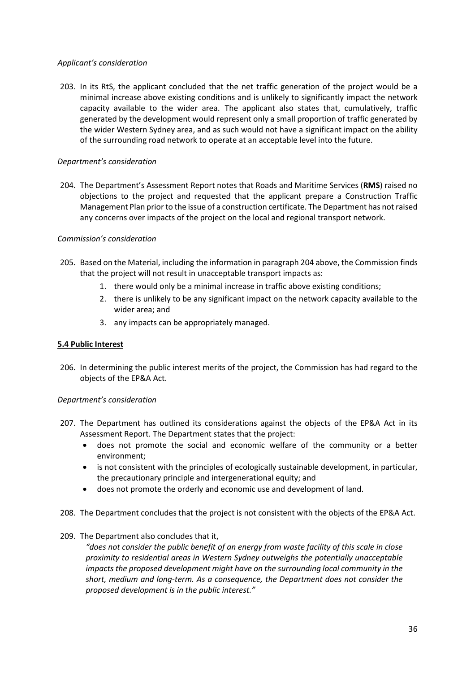## *Applicant's consideration*

203. In its RtS, the applicant concluded that the net traffic generation of the project would be a minimal increase above existing conditions and is unlikely to significantly impact the network capacity available to the wider area. The applicant also states that, cumulatively, traffic generated by the development would represent only a small proportion of traffic generated by the wider Western Sydney area, and as such would not have a significant impact on the ability of the surrounding road network to operate at an acceptable level into the future.

## *Department's consideration*

204. The Department's Assessment Report notes that Roads and Maritime Services (**RMS**) raised no objections to the project and requested that the applicant prepare a Construction Traffic Management Plan prior to the issue of a construction certificate. The Department has not raised any concerns over impacts of the project on the local and regional transport network.

## *Commission's consideration*

- 205. Based on the Material, including the information in paragraph 204 above, the Commission finds that the project will not result in unacceptable transport impacts as:
	- 1. there would only be a minimal increase in traffic above existing conditions;
	- 2. there is unlikely to be any significant impact on the network capacity available to the wider area; and
	- 3. any impacts can be appropriately managed.

#### **5.4 Public Interest**

206. In determining the public interest merits of the project, the Commission has had regard to the objects of the EP&A Act.

#### *Department's consideration*

- 207. The Department has outlined its considerations against the objects of the EP&A Act in its Assessment Report. The Department states that the project:
	- does not promote the social and economic welfare of the community or a better environment;
	- is not consistent with the principles of ecologically sustainable development, in particular, the precautionary principle and intergenerational equity; and
	- does not promote the orderly and economic use and development of land.
- 208. The Department concludes that the project is not consistent with the objects of the EP&A Act.
- 209. The Department also concludes that it,

*"does not consider the public benefit of an energy from waste facility of this scale in close proximity to residential areas in Western Sydney outweighs the potentially unacceptable impacts the proposed development might have on the surrounding local community in the short, medium and long-term. As a consequence, the Department does not consider the proposed development is in the public interest."*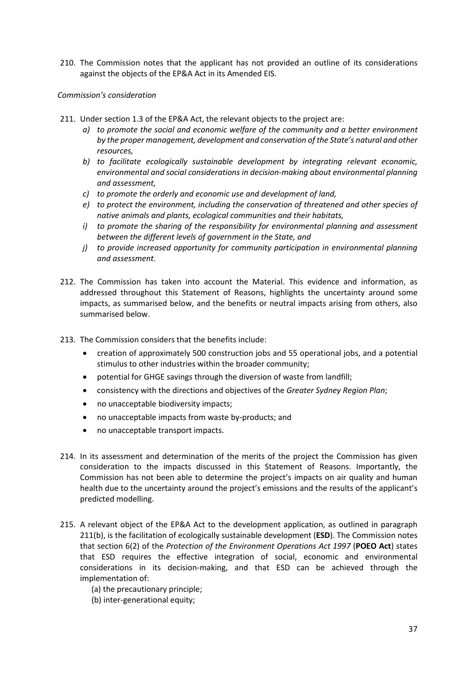210. The Commission notes that the applicant has not provided an outline of its considerations against the objects of the EP&A Act in its Amended EIS.

## *Commission's consideration*

- 211. Under section 1.3 of the EP&A Act, the relevant objects to the project are:
	- *a) to promote the social and economic welfare of the community and a better environment by the proper management, development and conservation of the State's natural and other resources,*
	- *b) to facilitate ecologically sustainable development by integrating relevant economic, environmental and social considerations in decision-making about environmental planning and assessment,*
	- *c) to promote the orderly and economic use and development of land,*
	- *e) to protect the environment, including the conservation of threatened and other species of native animals and plants, ecological communities and their habitats,*
	- *i) to promote the sharing of the responsibility for environmental planning and assessment between the different levels of government in the State, and*
	- *j) to provide increased opportunity for community participation in environmental planning and assessment.*
- 212. The Commission has taken into account the Material. This evidence and information, as addressed throughout this Statement of Reasons, highlights the uncertainty around some impacts, as summarised below, and the benefits or neutral impacts arising from others, also summarised below.
- 213. The Commission considers that the benefits include:
	- creation of approximately 500 construction jobs and 55 operational jobs, and a potential stimulus to other industries within the broader community;
	- potential for GHGE savings through the diversion of waste from landfill;
	- consistency with the directions and objectives of the *Greater Sydney Region Plan*;
	- no unacceptable biodiversity impacts;
	- no unacceptable impacts from waste by-products; and
	- no unacceptable transport impacts.
- 214. In its assessment and determination of the merits of the project the Commission has given consideration to the impacts discussed in this Statement of Reasons. Importantly, the Commission has not been able to determine the project's impacts on air quality and human health due to the uncertainty around the project's emissions and the results of the applicant's predicted modelling.
- 215. A relevant object of the EP&A Act to the development application, as outlined in paragraph 211(b), is the facilitation of ecologically sustainable development (**ESD**). The Commission notes that section 6(2) of the *Protection of the Environment Operations Act 1997* (**POEO Act**) states that ESD requires the effective integration of social, economic and environmental considerations in its decision-making, and that ESD can be achieved through the implementation of:
	- (a) the precautionary principle;
	- (b) inter-generational equity;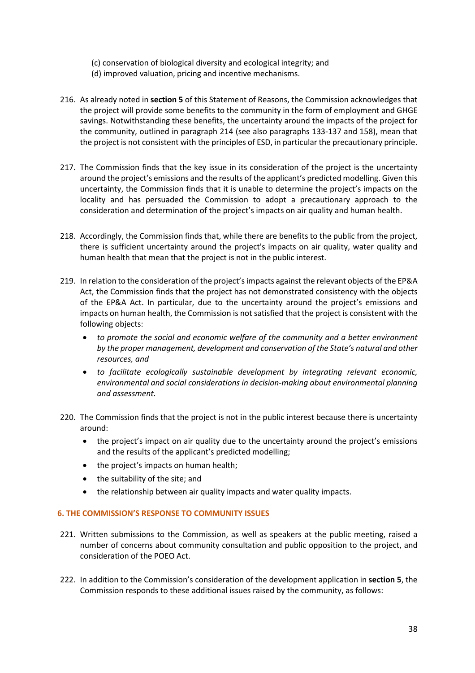- (c) conservation of biological diversity and ecological integrity; and
- (d) improved valuation, pricing and incentive mechanisms.
- 216. As already noted in **section 5** of this Statement of Reasons, the Commission acknowledges that the project will provide some benefits to the community in the form of employment and GHGE savings. Notwithstanding these benefits, the uncertainty around the impacts of the project for the community, outlined in paragraph 214 (see also paragraphs 133-137 and 158), mean that the project is not consistent with the principles of ESD, in particular the precautionary principle.
- 217. The Commission finds that the key issue in its consideration of the project is the uncertainty around the project's emissions and the results of the applicant's predicted modelling. Given this uncertainty, the Commission finds that it is unable to determine the project's impacts on the locality and has persuaded the Commission to adopt a precautionary approach to the consideration and determination of the project's impacts on air quality and human health.
- 218. Accordingly, the Commission finds that, while there are benefits to the public from the project, there is sufficient uncertainty around the project's impacts on air quality, water quality and human health that mean that the project is not in the public interest.
- 219. In relation to the consideration of the project's impacts against the relevant objects of the EP&A Act, the Commission finds that the project has not demonstrated consistency with the objects of the EP&A Act. In particular, due to the uncertainty around the project's emissions and impacts on human health, the Commission is not satisfied that the project is consistent with the following objects:
	- *to promote the social and economic welfare of the community and a better environment by the proper management, development and conservation of the State's natural and other resources, and*
	- *to facilitate ecologically sustainable development by integrating relevant economic, environmental and social considerations in decision-making about environmental planning and assessment.*
- 220. The Commission finds that the project is not in the public interest because there is uncertainty around:
	- the project's impact on air quality due to the uncertainty around the project's emissions and the results of the applicant's predicted modelling;
	- the project's impacts on human health;
	- the suitability of the site; and
	- the relationship between air quality impacts and water quality impacts.

#### **6. THE COMMISSION'S RESPONSE TO COMMUNITY ISSUES**

- 221. Written submissions to the Commission, as well as speakers at the public meeting, raised a number of concerns about community consultation and public opposition to the project, and consideration of the POEO Act.
- 222. In addition to the Commission's consideration of the development application in **section 5**, the Commission responds to these additional issues raised by the community, as follows: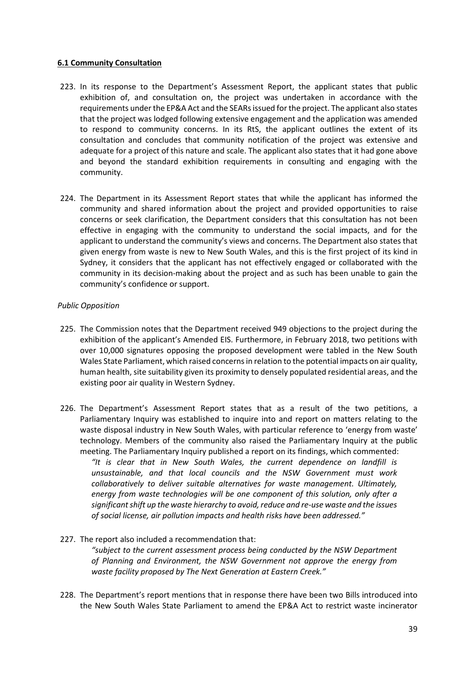## **6.1 Community Consultation**

- 223. In its response to the Department's Assessment Report, the applicant states that public exhibition of, and consultation on, the project was undertaken in accordance with the requirements under the EP&A Act and the SEARs issued for the project. The applicant also states that the project was lodged following extensive engagement and the application was amended to respond to community concerns. In its RtS, the applicant outlines the extent of its consultation and concludes that community notification of the project was extensive and adequate for a project of this nature and scale. The applicant also states that it had gone above and beyond the standard exhibition requirements in consulting and engaging with the community.
- 224. The Department in its Assessment Report states that while the applicant has informed the community and shared information about the project and provided opportunities to raise concerns or seek clarification, the Department considers that this consultation has not been effective in engaging with the community to understand the social impacts, and for the applicant to understand the community's views and concerns. The Department also states that given energy from waste is new to New South Wales, and this is the first project of its kind in Sydney, it considers that the applicant has not effectively engaged or collaborated with the community in its decision-making about the project and as such has been unable to gain the community's confidence or support.

## *Public Opposition*

- 225. The Commission notes that the Department received 949 objections to the project during the exhibition of the applicant's Amended EIS. Furthermore, in February 2018, two petitions with over 10,000 signatures opposing the proposed development were tabled in the New South Wales State Parliament, which raised concerns in relation to the potential impacts on air quality, human health, site suitability given its proximity to densely populated residential areas, and the existing poor air quality in Western Sydney.
- 226. The Department's Assessment Report states that as a result of the two petitions, a Parliamentary Inquiry was established to inquire into and report on matters relating to the waste disposal industry in New South Wales, with particular reference to 'energy from waste' technology. Members of the community also raised the Parliamentary Inquiry at the public meeting. The Parliamentary Inquiry published a report on its findings, which commented: *"It is clear that in New South Wales, the current dependence on landfill is unsustainable, and that local councils and the NSW Government must work collaboratively to deliver suitable alternatives for waste management. Ultimately, energy from waste technologies will be one component of this solution, only after a significant shift up the waste hierarchy to avoid, reduce and re-use waste and the issues of social license, air pollution impacts and health risks have been addressed."*
- 227. The report also included a recommendation that:

*"subject to the current assessment process being conducted by the NSW Department of Planning and Environment, the NSW Government not approve the energy from waste facility proposed by The Next Generation at Eastern Creek."*

228. The Department's report mentions that in response there have been two Bills introduced into the New South Wales State Parliament to amend the EP&A Act to restrict waste incinerator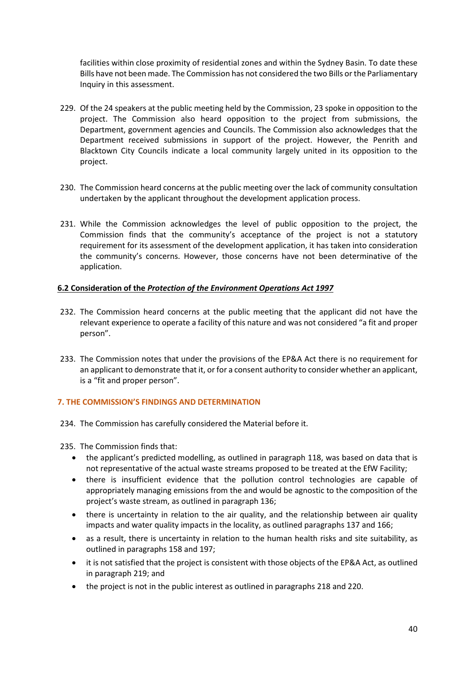facilities within close proximity of residential zones and within the Sydney Basin. To date these Bills have not been made. The Commission has not considered the two Bills or the Parliamentary Inquiry in this assessment.

- 229. Of the 24 speakers at the public meeting held by the Commission, 23 spoke in opposition to the project. The Commission also heard opposition to the project from submissions, the Department, government agencies and Councils. The Commission also acknowledges that the Department received submissions in support of the project. However, the Penrith and Blacktown City Councils indicate a local community largely united in its opposition to the project.
- 230. The Commission heard concerns at the public meeting over the lack of community consultation undertaken by the applicant throughout the development application process.
- 231. While the Commission acknowledges the level of public opposition to the project, the Commission finds that the community's acceptance of the project is not a statutory requirement for its assessment of the development application, it has taken into consideration the community's concerns. However, those concerns have not been determinative of the application.

## **6.2 Consideration of the** *Protection of the Environment Operations Act 1997*

- 232. The Commission heard concerns at the public meeting that the applicant did not have the relevant experience to operate a facility of this nature and was not considered "a fit and proper person".
- 233. The Commission notes that under the provisions of the EP&A Act there is no requirement for an applicant to demonstrate that it, or for a consent authority to consider whether an applicant, is a "fit and proper person".

# **7. THE COMMISSION'S FINDINGS AND DETERMINATION**

- 234. The Commission has carefully considered the Material before it.
- 235. The Commission finds that:
	- the applicant's predicted modelling, as outlined in paragraph 118, was based on data that is not representative of the actual waste streams proposed to be treated at the EfW Facility;
	- there is insufficient evidence that the pollution control technologies are capable of appropriately managing emissions from the and would be agnostic to the composition of the project's waste stream, as outlined in paragraph 136;
	- there is uncertainty in relation to the air quality, and the relationship between air quality impacts and water quality impacts in the locality, as outlined paragraphs 137 and 166;
	- as a result, there is uncertainty in relation to the human health risks and site suitability, as outlined in paragraphs 158 and 197;
	- it is not satisfied that the project is consistent with those objects of the EP&A Act, as outlined in paragraph 219; and
	- the project is not in the public interest as outlined in paragraphs 218 and 220.